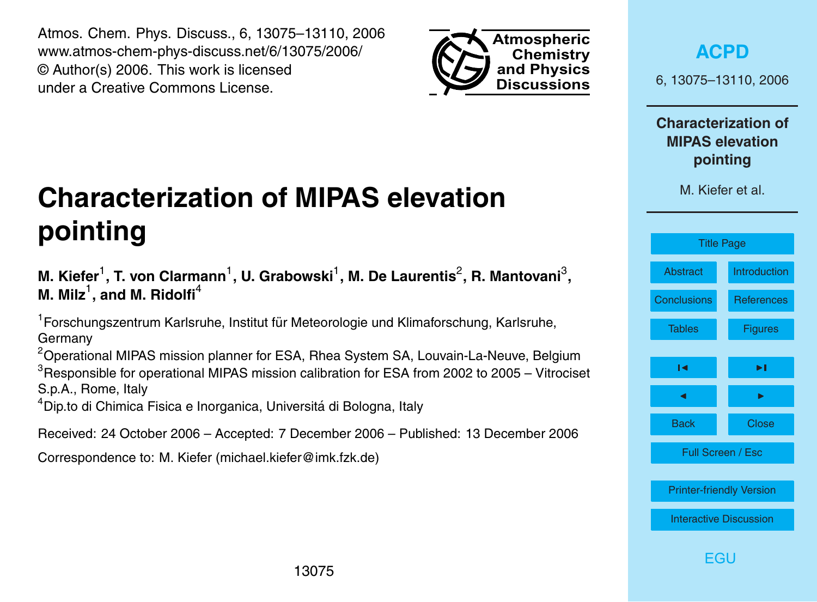<span id="page-0-0"></span>Atmos. Chem. Phys. Discuss., 6, 13075–13110, 2006 www.atmos-chem-phys-discuss.net/6/13075/2006/ © Author(s) 2006. This work is licensed under a Creative Commons License.



**[ACPD](http://www.atmos-chem-phys-discuss.net)**

6, 13075–13110, 2006

**Characterization of MIPAS elevation pointing**

M. Kiefer et al.



# **Characterization of MIPAS elevation pointing**

M. Kiefer<sup>1</sup>, T. von Clarmann<sup>1</sup>, U. Grabowski<sup>1</sup>, M. De Laurentis<sup>2</sup>, R. Mantovani<sup>3</sup>, **M. Milz** $^1$ **, and M. Ridolfi** $^4$ 

<sup>1</sup> Forschungszentrum Karlsruhe, Institut für Meteorologie und Klimaforschung, Karlsruhe, Germany

 $2$ Operational MIPAS mission planner for ESA, Rhea System SA, Louvain-La-Neuve, Belgium  $3$ Responsible for operational MIPAS mission calibration for ESA from 2002 to 2005 – Vitrociset S.p.A., Rome, Italy

<sup>4</sup>Dip.to di Chimica Fisica e Inorganica, Universitá di Bologna, Italy

Received: 24 October 2006 – Accepted: 7 December 2006 – Published: 13 December 2006

Correspondence to: M. Kiefer (michael.kiefer@imk.fzk.de)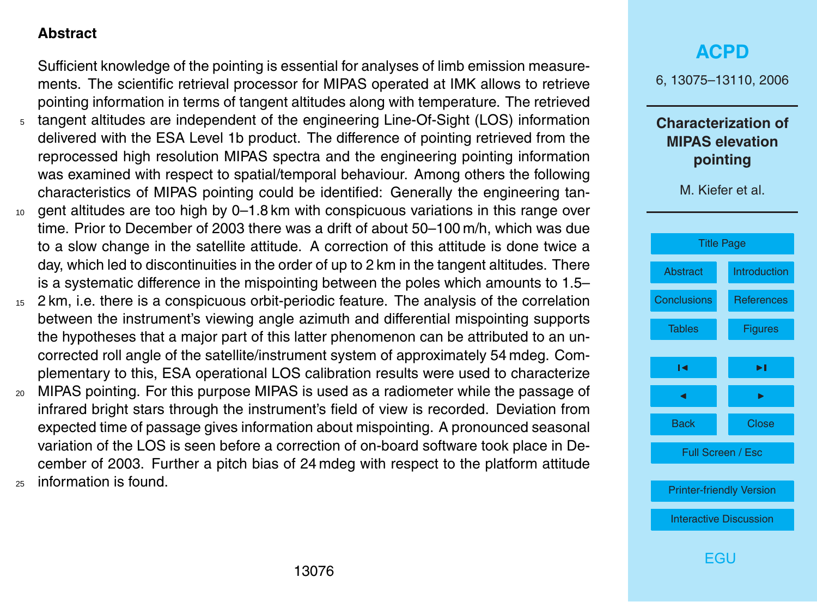### <span id="page-1-0"></span>**Abstract**

Sufficient knowledge of the pointing is essential for analyses of limb emission measurements. The scientific retrieval processor for MIPAS operated at IMK allows to retrieve pointing information in terms of tangent altitudes along with temperature. The retrieved

- <sup>5</sup> tangent altitudes are independent of the engineering Line-Of-Sight (LOS) information delivered with the ESA Level 1b product. The difference of pointing retrieved from the reprocessed high resolution MIPAS spectra and the engineering pointing information was examined with respect to spatial/temporal behaviour. Among others the following characteristics of MIPAS pointing could be identified: Generally the engineering tan-
- <sup>10</sup> gent altitudes are too high by 0–1.8 km with conspicuous variations in this range over time. Prior to December of 2003 there was a drift of about 50–100 m/h, which was due to a slow change in the satellite attitude. A correction of this attitude is done twice a day, which led to discontinuities in the order of up to 2 km in the tangent altitudes. There is a systematic difference in the mispointing between the poles which amounts to 1.5–
- <sup>15</sup> 2 km, i.e. there is a conspicuous orbit-periodic feature. The analysis of the correlation between the instrument's viewing angle azimuth and differential mispointing supports the hypotheses that a major part of this latter phenomenon can be attributed to an uncorrected roll angle of the satellite/instrument system of approximately 54 mdeg. Complementary to this, ESA operational LOS calibration results were used to characterize
- <sup>20</sup> MIPAS pointing. For this purpose MIPAS is used as a radiometer while the passage of infrared bright stars through the instrument's field of view is recorded. Deviation from expected time of passage gives information about mispointing. A pronounced seasonal variation of the LOS is seen before a correction of on-board software took place in December of 2003. Further a pitch bias of 24 mdeg with respect to the platform attitude <sup>25</sup> information is found.

# **[ACPD](http://www.atmos-chem-phys-discuss.net)** 6, 13075–13110, 2006 **Characterization of MIPAS elevation pointing** M. Kiefer et al. [Title Page](#page-0-0) Abstract [Introduction](#page-2-0) [Conclusions](#page-18-0) [References](#page-20-0) [Tables](#page-22-0) [Figures](#page-23-0)  $\sim$  J  $\sim$ **J** I I I I Back Close Full Screen / Esc [Printer-friendly Version](http://www.atmos-chem-phys-discuss.net/6/13075/2006/acpd-6-13075-2006-print.pdf) [Interactive Discussion](http://www.atmos-chem-phys-discuss.net/6/13075/2006/acpd-6-13075-2006-discussion.html) [EGU](http://www.copernicus.org/EGU/EGU.html)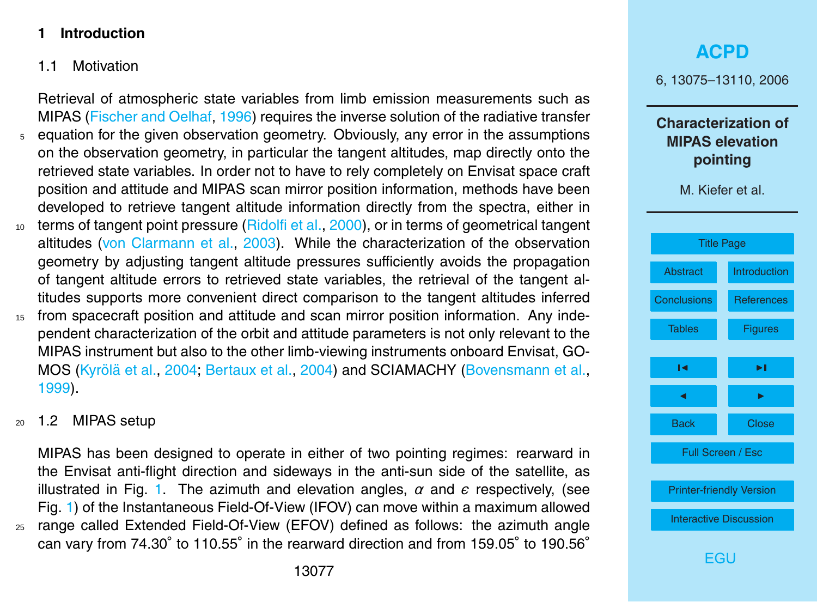#### <span id="page-2-0"></span>**1 Introduction**

#### 1.1 Motivation

Retrieval of atmospheric state variables from limb emission measurements such as MIPAS [\(Fischer and Oelhaf,](#page-20-0) [1996\)](#page-20-0) requires the inverse solution of the radiative transfer <sup>5</sup> equation for the given observation geometry. Obviously, any error in the assumptions on the observation geometry, in particular the tangent altitudes, map directly onto the retrieved state variables. In order not to have to rely completely on Envisat space craft position and attitude and MIPAS scan mirror position information, methods have been developed to retrieve tangent altitude information directly from the spectra, either in 10 terms of tangent point pressure [\(Ridolfi et al.,](#page-20-0) [2000\)](#page-20-0), or in terms of geometrical tangent altitudes [\(von Clarmann et al.,](#page-21-0) [2003\)](#page-21-0). While the characterization of the observation

- geometry by adjusting tangent altitude pressures sufficiently avoids the propagation of tangent altitude errors to retrieved state variables, the retrieval of the tangent altitudes supports more convenient direct comparison to the tangent altitudes inferred
- <sup>15</sup> from spacecraft position and attitude and scan mirror position information. Any independent characterization of the orbit and attitude parameters is not only relevant to the MIPAS instrument but also to the other limb-viewing instruments onboard Envisat, GO-MOS (Kyrölä et al., [2004;](#page-20-0) [Bertaux et al.,](#page-20-0) [2004\)](#page-20-0) and SCIAMACHY [\(Bovensmann et al.,](#page-20-0) [1999\)](#page-20-0).

#### <sup>20</sup> 1.2 MIPAS setup

MIPAS has been designed to operate in either of two pointing regimes: rearward in the Envisat anti-flight direction and sideways in the anti-sun side of the satellite, as illustrated in Fig. [1.](#page-23-0) The azimuth and elevation angles,  $\alpha$  and  $\epsilon$  respectively, (see Fig. [1\)](#page-23-0) of the Instantaneous Field-Of-View (IFOV) can move within a maximum allowed <sup>25</sup> range called Extended Field-Of-View (EFOV) defined as follows: the azimuth angle can vary from 74.30° to 110.55° in the rearward direction and from 159.05° to 190.56°

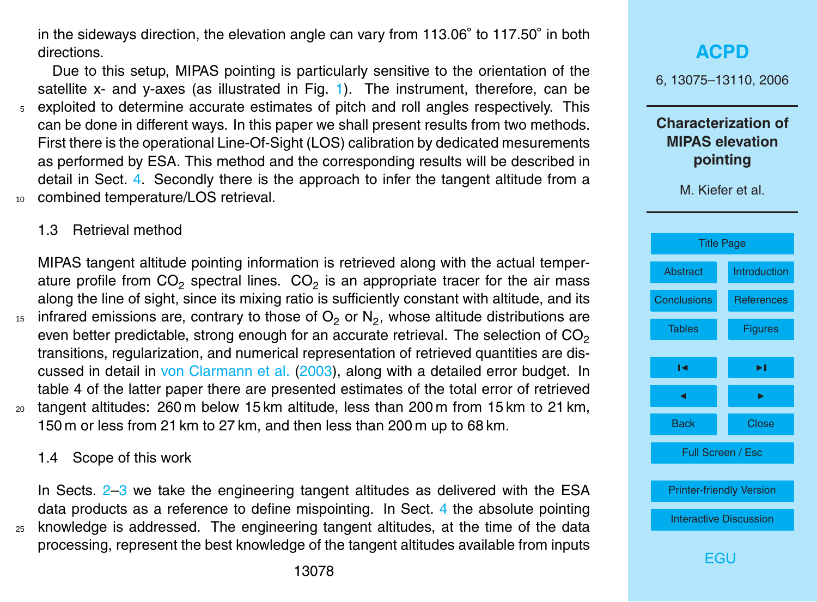<span id="page-3-0"></span>in the sideways direction, the elevation angle can vary from 113.06° to 117.50° in both directions.

Due to this setup, MIPAS pointing is particularly sensitive to the orientation of the satellite x- and y-axes (as illustrated in Fig. [1\)](#page-23-0). The instrument, therefore, can be <sup>5</sup> exploited to determine accurate estimates of pitch and roll angles respectively. This can be done in different ways. In this paper we shall present results from two methods. First there is the operational Line-Of-Sight (LOS) calibration by dedicated mesurements as performed by ESA. This method and the corresponding results will be described in detail in Sect. [4.](#page-12-0) Secondly there is the approach to infer the tangent altitude from a combined temperature/LOS retrieval.

#### 1.3 Retrieval method

MIPAS tangent altitude pointing information is retrieved along with the actual temperature profile from CO<sub>2</sub> spectral lines.  $CO_2$  is an appropriate tracer for the air mass along the line of sight, since its mixing ratio is sufficiently constant with altitude, and its  $_{15}$  infrared emissions are, contrary to those of  $\mathsf{O}_2$  or  $\mathsf{N}_2$ , whose altitude distributions are even better predictable, strong enough for an accurate retrieval. The selection of  $CO<sub>2</sub>$ transitions, regularization, and numerical representation of retrieved quantities are discussed in detail in [von Clarmann et al.](#page-21-0) [\(2003\)](#page-21-0), along with a detailed error budget. In table 4 of the latter paper there are presented estimates of the total error of retrieved  $20$  tangent altitudes: 260 m below 15 km altitude, less than 200 m from 15 km to 21 km, 150 m or less from 21 km to 27 km, and then less than 200 m up to 68 km.

1.4 Scope of this work

In Sects. [2](#page-5-0)[–3](#page-6-0) we take the engineering tangent altitudes as delivered with the ESA data products as a reference to define mispointing. In Sect. [4](#page-12-0) the absolute pointing <sup>25</sup> knowledge is addressed. The engineering tangent altitudes, at the time of the data processing, represent the best knowledge of the tangent altitudes available from inputs

# **[ACPD](http://www.atmos-chem-phys-discuss.net)** 6, 13075–13110, 2006 **Characterization of MIPAS elevation pointing** M. Kiefer et al. [Title Page](#page-0-0) [Abstract](#page-1-0) [Introduction](#page-2-0) [Conclusions](#page-18-0) [References](#page-20-0) [Tables](#page-22-0) [Figures](#page-23-0)  $\sim$  J  $\sim$ **J** I I I I Back Close Full Screen / Esc [Printer-friendly Version](http://www.atmos-chem-phys-discuss.net/6/13075/2006/acpd-6-13075-2006-print.pdf) [Interactive Discussion](http://www.atmos-chem-phys-discuss.net/6/13075/2006/acpd-6-13075-2006-discussion.html)

[EGU](http://www.copernicus.org/EGU/EGU.html)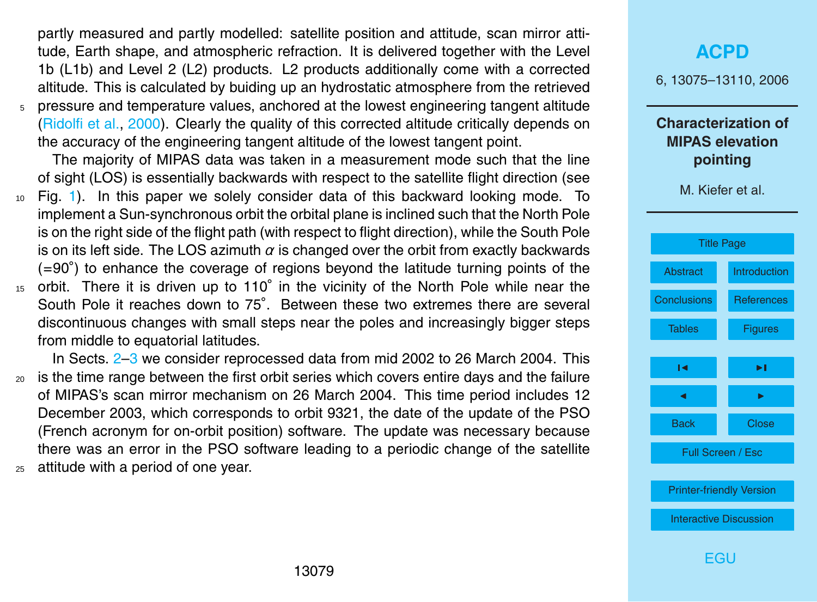<span id="page-4-0"></span>partly measured and partly modelled: satellite position and attitude, scan mirror attitude, Earth shape, and atmospheric refraction. It is delivered together with the Level 1b (L1b) and Level 2 (L2) products. L2 products additionally come with a corrected altitude. This is calculated by buiding up an hydrostatic atmosphere from the retrieved  $5$  pressure and temperature values, anchored at the lowest engineering tangent altitude [\(Ridolfi et al.,](#page-20-0) [2000\)](#page-20-0). Clearly the quality of this corrected altitude critically depends on

the accuracy of the engineering tangent altitude of the lowest tangent point.

The majority of MIPAS data was taken in a measurement mode such that the line of sight (LOS) is essentially backwards with respect to the satellite flight direction (see

- <sup>10</sup> Fig. [1\)](#page-23-0). In this paper we solely consider data of this backward looking mode. To implement a Sun-synchronous orbit the orbital plane is inclined such that the North Pole is on the right side of the flight path (with respect to flight direction), while the South Pole is on its left side. The LOS azimuth  $\alpha$  is changed over the orbit from exactly backwards (=90◦ ) to enhance the coverage of regions beyond the latitude turning points of the
- 15 orbit. There it is driven up to 110° in the vicinity of the North Pole while near the South Pole it reaches down to 75°. Between these two extremes there are several discontinuous changes with small steps near the poles and increasingly bigger steps from middle to equatorial latitudes.

In Sects. [2](#page-5-0)[–3](#page-6-0) we consider reprocessed data from mid 2002 to 26 March 2004. This <sup>20</sup> is the time range between the first orbit series which covers entire days and the failure of MIPAS's scan mirror mechanism on 26 March 2004. This time period includes 12 December 2003, which corresponds to orbit 9321, the date of the update of the PSO (French acronym for on-orbit position) software. The update was necessary because there was an error in the PSO software leading to a periodic change of the satellite <sup>25</sup> attitude with a period of one year.

# **[ACPD](http://www.atmos-chem-phys-discuss.net)** 6, 13075–13110, 2006 **Characterization of MIPAS elevation pointing** M. Kiefer et al. [Title Page](#page-0-0) [Abstract](#page-1-0) [Introduction](#page-2-0) [Conclusions](#page-18-0) [References](#page-20-0) [Tables](#page-22-0) [Figures](#page-23-0)  $\sim$  J  $\sim$ **J** I I I I Back Close Full Screen / Esc [Printer-friendly Version](http://www.atmos-chem-phys-discuss.net/6/13075/2006/acpd-6-13075-2006-print.pdf) [Interactive Discussion](http://www.atmos-chem-phys-discuss.net/6/13075/2006/acpd-6-13075-2006-discussion.html) [EGU](http://www.copernicus.org/EGU/EGU.html)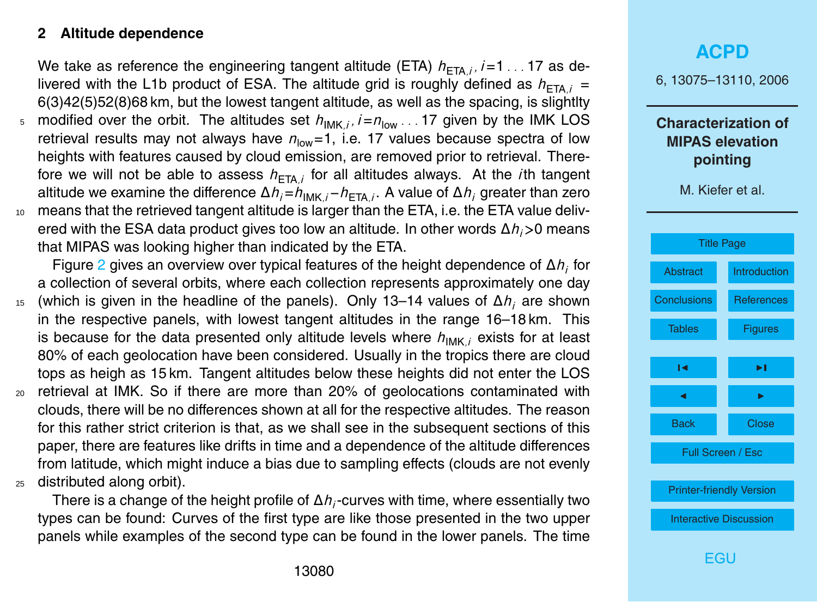#### <span id="page-5-0"></span>**2 Altitude dependence**

We take as reference the engineering tangent altitude (ETA)  $h_{ETA,i}$ *i*,  $i=1...17$  as delivered with the L1b product of ESA. The altitude grid is roughly defined as  $h_{ETA,i}$  = 6(3)42(5)52(8)68 km, but the lowest tangent altitude, as well as the spacing, is slightlty

5 modified over the orbit. The altitudes set  $h_{\text{IMK }i}$ ,  $i = n_{\text{low }}$ . . . 17 given by the IMK LOS retrieval results may not always have  $n_{low}=1$ , i.e. 17 values because spectra of low heights with features caused by cloud emission, are removed prior to retrieval. Therefore we will not be able to assess  $h_{\text{ETA}i}$  for all altitudes always. At the *i*th tangent altitude we examine the difference Δ*h<sub>i</sub>*=*h*<sub>IMK *i*</sub>−*h*<sub>ETA</sub><sub>*i*</sub>. A value of Δ*h<sub>i</sub>* greater than zero <sup>10</sup> means that the retrieved tangent altitude is larger than the ETA, i.e. the ETA value delivered with the ESA data product gives too low an altitude. In other words ∆*hi>*0 means that MIPAS was looking higher than indicated by the ETA.

Figure [2](#page-24-0) gives an overview over typical features of the height dependence of ∆*h<sup>i</sup>* for a collection of several orbits, where each collection represents approximately one day

- <sup>15</sup> (which is given in the headline of the panels). Only 13–14 values of ∆*h<sup>i</sup>* are shown in the respective panels, with lowest tangent altitudes in the range 16–18 km. This is because for the data presented only altitude levels where  $h_{\text{IMK},i}$  exists for at least 80% of each geolocation have been considered. Usually in the tropics there are cloud tops as heigh as 15 km. Tangent altitudes below these heights did not enter the LOS
- <sup>20</sup> retrieval at IMK. So if there are more than 20% of geolocations contaminated with clouds, there will be no differences shown at all for the respective altitudes. The reason for this rather strict criterion is that, as we shall see in the subsequent sections of this paper, there are features like drifts in time and a dependence of the altitude differences from latitude, which might induce a bias due to sampling effects (clouds are not evenly <sup>25</sup> distributed along orbit).

There is a change of the height profile of ∆*h<sup>i</sup>* -curves with time, where essentially two types can be found: Curves of the first type are like those presented in the two upper panels while examples of the second type can be found in the lower panels. The time

# **[ACPD](http://www.atmos-chem-phys-discuss.net)** 6, 13075–13110, 2006 **Characterization of MIPAS elevation pointing** M. Kiefer et al. [Title Page](#page-0-0) [Abstract](#page-1-0) [Introduction](#page-2-0) [Conclusions](#page-18-0) [References](#page-20-0) [Tables](#page-22-0) **[Figures](#page-23-0)**  $\sim$  J  $\sim$ **J** I I I I Back Close Full Screen / Esc [Printer-friendly Version](http://www.atmos-chem-phys-discuss.net/6/13075/2006/acpd-6-13075-2006-print.pdf) [Interactive Discussion](http://www.atmos-chem-phys-discuss.net/6/13075/2006/acpd-6-13075-2006-discussion.html) **FGU**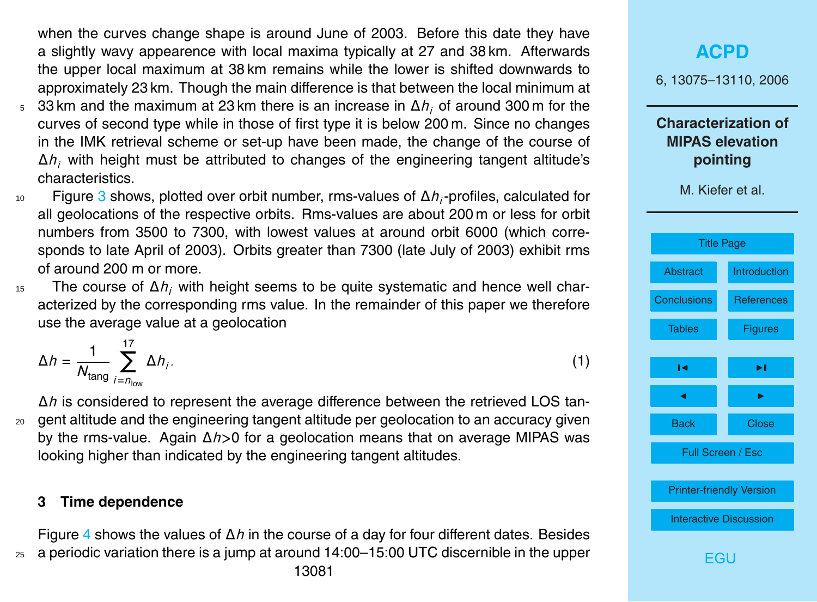<span id="page-6-0"></span>when the curves change shape is around June of 2003. Before this date they have a slightly wavy appearence with local maxima typically at 27 and 38 km. Afterwards the upper local maximum at 38 km remains while the lower is shifted downwards to approximately 23 km. Though the main difference is that between the local minimum at

- <sup>5</sup> 33 km and the maximum at 23 km there is an increase in ∆*h<sup>i</sup>* of around 300 m for the curves of second type while in those of first type it is below 200 m. Since no changes in the IMK retrieval scheme or set-up have been made, the change of the course of ∆*h<sup>i</sup>* with height must be attributed to changes of the engineering tangent altitude's characteristics.
- Figure [3](#page-25-0) shows, plotted over orbit number, rms-values of ∆*h<sup>i</sup>* <sup>10</sup> -profiles, calculated for all geolocations of the respective orbits. Rms-values are about 200 m or less for orbit numbers from 3500 to 7300, with lowest values at around orbit 6000 (which corresponds to late April of 2003). Orbits greater than 7300 (late July of 2003) exhibit rms of around 200 m or more.
- <sup>15</sup> The course of ∆*h<sup>i</sup>* with height seems to be quite systematic and hence well characterized by the corresponding rms value. In the remainder of this paper we therefore use the average value at a geolocation

$$
\Delta h = \frac{1}{N_{\text{tang}}} \sum_{i=n_{\text{low}}}^{17} \Delta h_i. \tag{1}
$$

∆*h* is considered to represent the average difference between the retrieved LOS tan-<sup>20</sup> gent altitude and the engineering tangent altitude per geolocation to an accuracy given by the rms-value. Again ∆*h>*0 for a geolocation means that on average MIPAS was looking higher than indicated by the engineering tangent altitudes.

#### **3 Time dependence**

Figure [4](#page-26-0) shows the values of ∆*h* in the course of a day for four different dates. Besides  $25$  a periodic variation there is a jump at around 14:00–15:00 UTC discernible in the upper

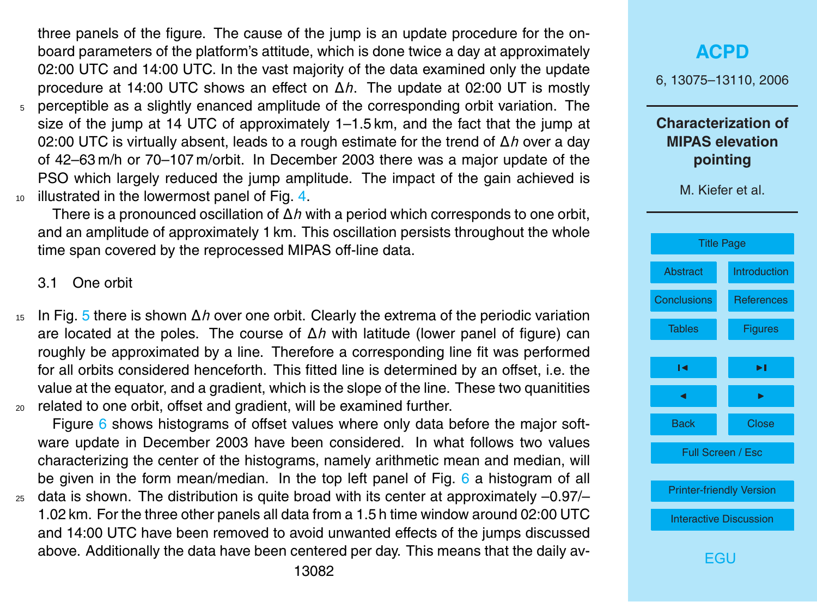<span id="page-7-0"></span>three panels of the figure. The cause of the jump is an update procedure for the onboard parameters of the platform's attitude, which is done twice a day at approximately 02:00 UTC and 14:00 UTC. In the vast majority of the data examined only the update procedure at 14:00 UTC shows an effect on ∆*h*. The update at 02:00 UT is mostly <sup>5</sup> perceptible as a slightly enanced amplitude of the corresponding orbit variation. The size of the jump at 14 UTC of approximately 1–1.5 km, and the fact that the jump at 02:00 UTC is virtually absent, leads to a rough estimate for the trend of ∆*h* over a day of 42–63 m/h or 70–107 m/orbit. In December 2003 there was a major update of the PSO which largely reduced the jump amplitude. The impact of the gain achieved is 10 illustrated in the lowermost panel of Fig. [4.](#page-26-0)

There is a pronounced oscillation of ∆*h* with a period which corresponds to one orbit, and an amplitude of approximately 1 km. This oscillation persists throughout the whole time span covered by the reprocessed MIPAS off-line data.

3.1 One orbit

<sup>15</sup> In Fig. [5](#page-27-0) there is shown ∆*h* over one orbit. Clearly the extrema of the periodic variation are located at the poles. The course of ∆*h* with latitude (lower panel of figure) can roughly be approximated by a line. Therefore a corresponding line fit was performed for all orbits considered henceforth. This fitted line is determined by an offset, i.e. the value at the equator, and a gradient, which is the slope of the line. These two quanitities <sup>20</sup> related to one orbit, offset and gradient, will be examined further.

Figure [6](#page-28-0) shows histograms of offset values where only data before the major software update in December 2003 have been considered. In what follows two values characterizing the center of the histograms, namely arithmetic mean and median, will be given in the form mean/median. In the top left panel of Fig.  $6$  a histogram of all  $_{25}$  data is shown. The distribution is quite broad with its center at approximately  $-0.97/-\pi$ 1.02 km. For the three other panels all data from a 1.5 h time window around 02:00 UTC and 14:00 UTC have been removed to avoid unwanted effects of the jumps discussed

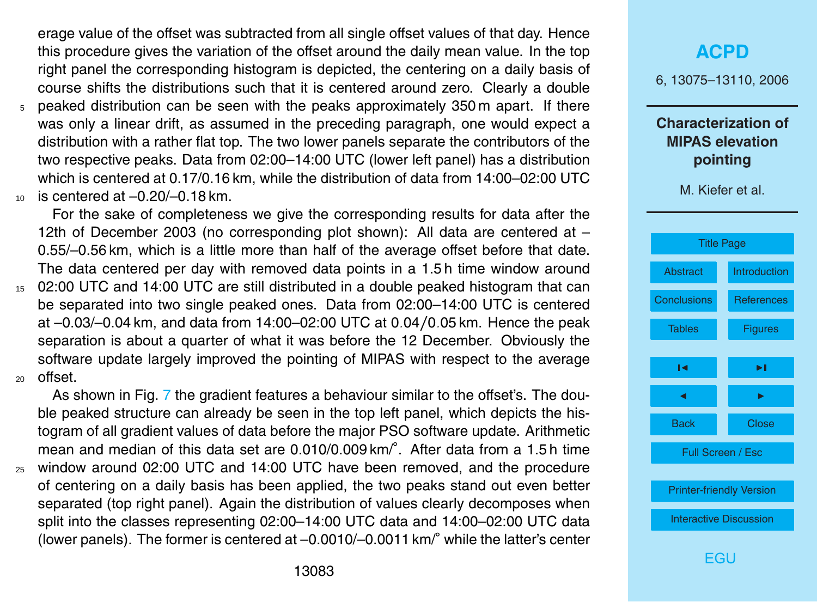erage value of the offset was subtracted from all single offset values of that day. Hence this procedure gives the variation of the offset around the daily mean value. In the top right panel the corresponding histogram is depicted, the centering on a daily basis of course shifts the distributions such that it is centered around zero. Clearly a double

<sup>5</sup> peaked distribution can be seen with the peaks approximately 350 m apart. If there was only a linear drift, as assumed in the preceding paragraph, one would expect a distribution with a rather flat top. The two lower panels separate the contributors of the two respective peaks. Data from 02:00–14:00 UTC (lower left panel) has a distribution which is centered at 0.17/0.16 km, while the distribution of data from 14:00–02:00 UTC  $10$  is centered at  $-0.20/-0.18$  km.

For the sake of completeness we give the corresponding results for data after the 12th of December 2003 (no corresponding plot shown): All data are centered at – 0.55/–0.56 km, which is a little more than half of the average offset before that date. The data centered per day with removed data points in a 1.5 h time window around <sup>15</sup> 02:00 UTC and 14:00 UTC are still distributed in a double peaked histogram that can be separated into two single peaked ones. Data from 02:00–14:00 UTC is centered at –0.03/–0.04 km, and data from 14:00–02:00 UTC at 0*.*04*/*0*.*05 km. Hence the peak separation is about a quarter of what it was before the 12 December. Obviously the software update largely improved the pointing of MIPAS with respect to the average <sup>20</sup> offset.

As shown in Fig. [7](#page-29-0) the gradient features a behaviour similar to the offset's. The double peaked structure can already be seen in the top left panel, which depicts the histogram of all gradient values of data before the major PSO software update. Arithmetic mean and median of this data set are 0.010/0.009 km/°. After data from a 1.5 h time <sup>25</sup> window around 02:00 UTC and 14:00 UTC have been removed, and the procedure of centering on a daily basis has been applied, the two peaks stand out even better separated (top right panel). Again the distribution of values clearly decomposes when split into the classes representing 02:00–14:00 UTC data and 14:00–02:00 UTC data (lower panels). The former is centered at –0.0010/–0.0011 km/◦ while the latter's center

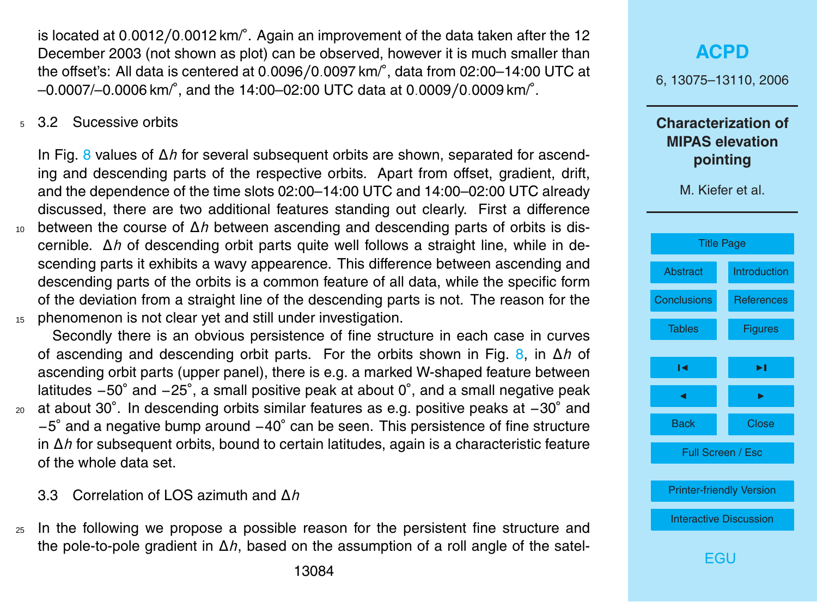<span id="page-9-0"></span>is located at 0*.*0012*/*0*.*0012 km/◦ . Again an improvement of the data taken after the 12 December 2003 (not shown as plot) can be observed, however it is much smaller than the offset's: All data is centered at 0*.*0096*/*0*.*0097 km/◦ , data from 02:00–14:00 UTC at –0.0007/–0.0006 km/◦ , and the 14:00–02:00 UTC data at 0*.*0009*/*0*.*0009 km/◦ .

5.3.2 Sucessive orbits

In Fig. [8](#page-30-0) values of ∆*h* for several subsequent orbits are shown, separated for ascending and descending parts of the respective orbits. Apart from offset, gradient, drift, and the dependence of the time slots 02:00–14:00 UTC and 14:00–02:00 UTC already discussed, there are two additional features standing out clearly. First a difference <sup>10</sup> between the course of ∆*h* between ascending and descending parts of orbits is discernible. ∆*h* of descending orbit parts quite well follows a straight line, while in descending parts it exhibits a wavy appearence. This difference between ascending and descending parts of the orbits is a common feature of all data, while the specific form of the deviation from a straight line of the descending parts is not. The reason for the 15 phenomenon is not clear yet and still under investigation.

Secondly there is an obvious persistence of fine structure in each case in curves of ascending and descending orbit parts. For the orbits shown in Fig. [8,](#page-30-0) in ∆*h* of ascending orbit parts (upper panel), there is e.g. a marked W-shaped feature between latitudes -50° and -25°, a small positive peak at about 0°, and a small negative peak at about 30◦ . In descending orbits similar features as e.g. positive peaks at −30◦ <sup>20</sup> and −5 ◦ and a negative bump around −40◦ can be seen. This persistence of fine structure in ∆*h* for subsequent orbits, bound to certain latitudes, again is a characteristic feature of the whole data set.

3.3 Correlation of LOS azimuth and ∆*h*

<sub>25</sub> In the following we propose a possible reason for the persistent fine structure and the pole-to-pole gradient in ∆*h*, based on the assumption of a roll angle of the satel-

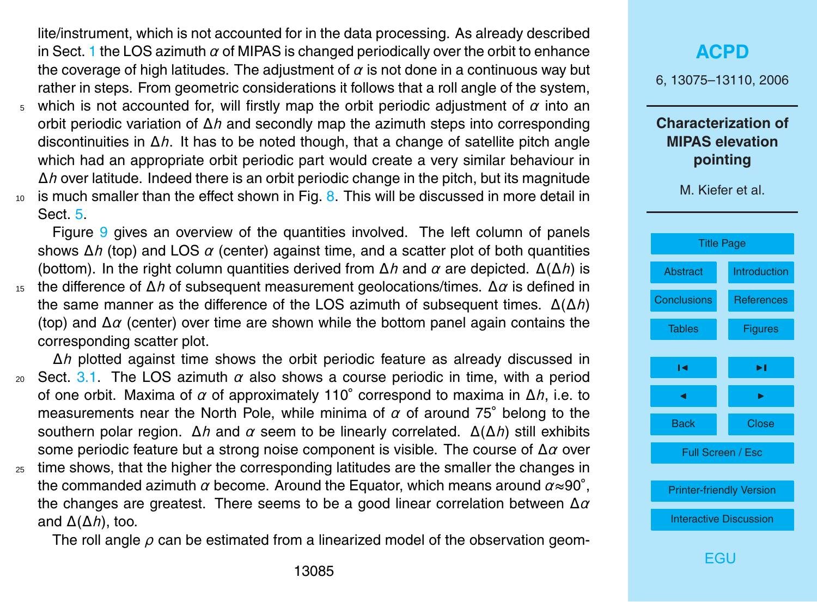lite/instrument, which is not accounted for in the data processing. As already described in Sect. [1](#page-2-0) the LOS azimuth *α* of MIPAS is changed periodically over the orbit to enhance the coverage of high latitudes. The adjustment of *α* is not done in a continuous way but rather in steps. From geometric considerations it follows that a roll angle of the system,

- <sup>5</sup> which is not accounted for, will firstly map the orbit periodic adjustment of *α* into an orbit periodic variation of ∆*h* and secondly map the azimuth steps into corresponding discontinuities in ∆*h*. It has to be noted though, that a change of satellite pitch angle which had an appropriate orbit periodic part would create a very similar behaviour in ∆*h* over latitude. Indeed there is an orbit periodic change in the pitch, but its magnitude  $10<sub>10</sub>$  is much smaller than the effect shown in Fig. [8.](#page-30-0) This will be discussed in more detail in
- Sect. [5.](#page-15-0)

Figure [9](#page-31-0) gives an overview of the quantities involved. The left column of panels shows ∆*h* (top) and LOS *α* (center) against time, and a scatter plot of both quantities (bottom). In the right column quantities derived from ∆*h* and *α* are depicted. ∆(∆*h*) is <sup>15</sup> the difference of ∆*h* of subsequent measurement geolocations/times. ∆*α* is defined in

the same manner as the difference of the LOS azimuth of subsequent times. ∆(∆*h*) (top) and ∆*α* (center) over time are shown while the bottom panel again contains the corresponding scatter plot.

∆*h* plotted against time shows the orbit periodic feature as already discussed in 20 Sect. [3.1.](#page-7-0) The LOS azimuth  $\alpha$  also shows a course periodic in time, with a period of one orbit. Maxima of *α* of approximately 110◦ correspond to maxima in ∆*h*, i.e. to measurements near the North Pole, while minima of *α* of around 75◦ belong to the southern polar region. ∆*h* and *α* seem to be linearly correlated. ∆(∆*h*) still exhibits some periodic feature but a strong noise component is visible. The course of ∆*α* over

 $25$  time shows, that the higher the corresponding latitudes are the smaller the changes in the commanded azimuth *α* become. Around the Equator, which means around *α*≈90◦ , the changes are greatest. There seems to be a good linear correlation between ∆*α* and ∆(∆*h*), too.

The roll angle *ρ* can be estimated from a linearized model of the observation geom-

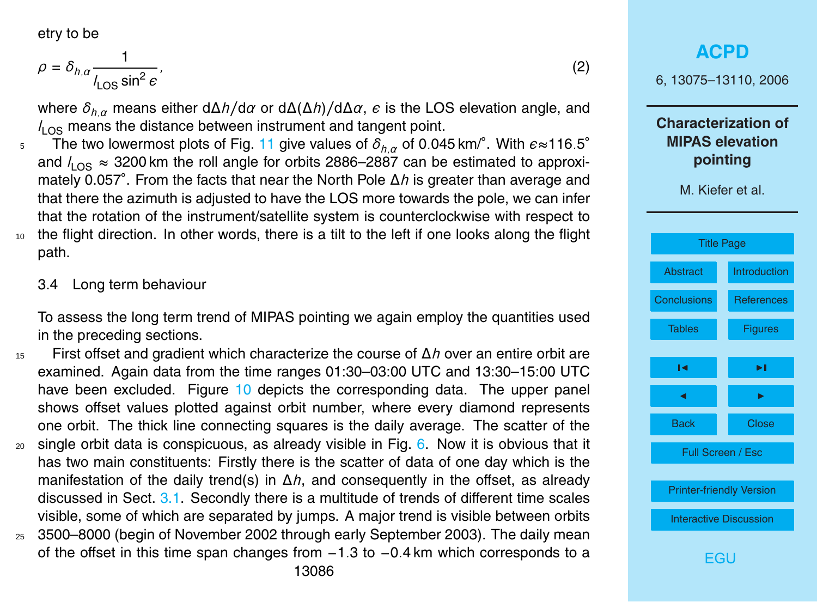<span id="page-11-0"></span>etry to be

path.

$$
\rho = \delta_{h,\alpha} \frac{1}{I_{\text{LOS}} \sin^2 e},\tag{2}
$$

where *δh,α* means either d∆*h/*d*α* or d∆(∆*h*)*/*d∆*α*, is the LOS elevation angle, and  $l_{\text{LOS}}$  means the distance between instrument and tangent point.

- The two lowermost plots of Fig. [11](#page-33-0) give values of  $\delta_{h,\alpha}$  of 0.045 km/ $^\circ$ . With  $e{\approx}116.5^\circ$ 5 and  $l_{\text{LOS}} \approx 3200$  km the roll angle for orbits 2886–2887 can be estimated to approximately 0.057◦ . From the facts that near the North Pole ∆*h* is greater than average and that there the azimuth is adjusted to have the LOS more towards the pole, we can infer that the rotation of the instrument/satellite system is counterclockwise with respect to <sup>10</sup> the flight direction. In other words, there is a tilt to the left if one looks along the flight
	- 3.4 Long term behaviour

To assess the long term trend of MIPAS pointing we again employ the quantities used in the preceding sections.

<sup>15</sup> First offset and gradient which characterize the course of ∆*h* over an entire orbit are examined. Again data from the time ranges 01:30–03:00 UTC and 13:30–15:00 UTC have been excluded. Figure [10](#page-32-0) depicts the corresponding data. The upper panel shows offset values plotted against orbit number, where every diamond represents one orbit. The thick line connecting squares is the daily average. The scatter of the  $20$  single orbit data is conspicuous, as already visible in Fig. [6.](#page-28-0) Now it is obvious that it has two main constituents: Firstly there is the scatter of data of one day which is the manifestation of the daily trend(s) in ∆*h*, and consequently in the offset, as already discussed in Sect. [3.1.](#page-7-0) Secondly there is a multitude of trends of different time scales visible, some of which are separated by jumps. A major trend is visible between orbits <sup>25</sup> 3500–8000 (begin of November 2002 through early September 2003). The daily mean

of the offset in this time span changes from −1*.*3 to −0*.*4 km which corresponds to a

**[ACPD](http://www.atmos-chem-phys-discuss.net)** 6, 13075–13110, 2006 **Characterization of MIPAS elevation pointing** M. Kiefer et al. [Title Page](#page-0-0) [Abstract](#page-1-0) [Introduction](#page-2-0) [Conclusions](#page-18-0) [References](#page-20-0) [Tables](#page-22-0) [Figures](#page-23-0)  $\sim$  J  $\sim$ **J** I I I I Back Close Full Screen / Esc [Printer-friendly Version](http://www.atmos-chem-phys-discuss.net/6/13075/2006/acpd-6-13075-2006-print.pdf) [Interactive Discussion](http://www.atmos-chem-phys-discuss.net/6/13075/2006/acpd-6-13075-2006-discussion.html)

[EGU](http://www.copernicus.org/EGU/EGU.html)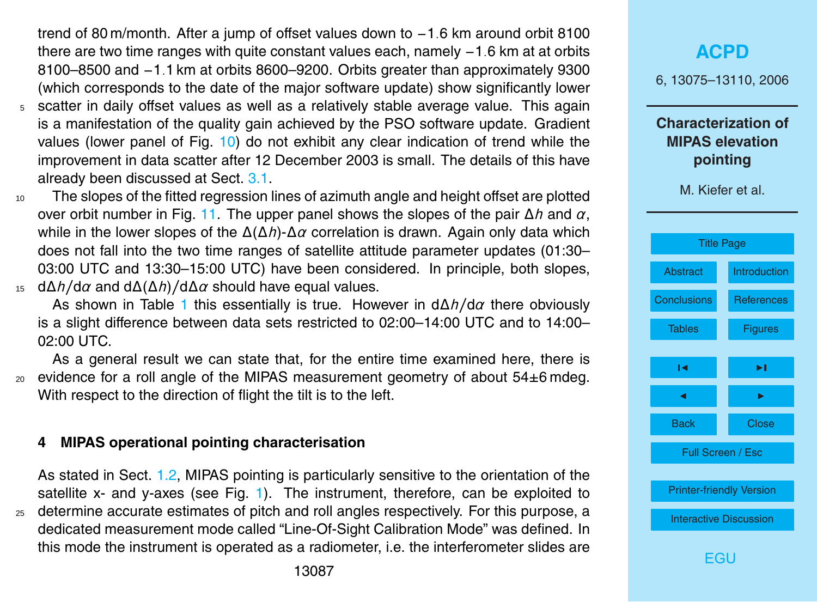<span id="page-12-0"></span>trend of 80 m/month. After a jump of offset values down to −1*.*6 km around orbit 8100 there are two time ranges with quite constant values each, namely −1*.*6 km at at orbits 8100–8500 and −1*.*1 km at orbits 8600–9200. Orbits greater than approximately 9300 (which corresponds to the date of the major software update) show significantly lower

- <sup>5</sup> scatter in daily offset values as well as a relatively stable average value. This again is a manifestation of the quality gain achieved by the PSO software update. Gradient values (lower panel of Fig. [10\)](#page-32-0) do not exhibit any clear indication of trend while the improvement in data scatter after 12 December 2003 is small. The details of this have already been discussed at Sect. [3.1.](#page-7-0)
- <sup>10</sup> The slopes of the fitted regression lines of azimuth angle and height offset are plotted over orbit number in Fig. [11.](#page-33-0) The upper panel shows the slopes of the pair ∆*h* and *α*, while in the lower slopes of the ∆(∆*h*)-∆*α* correlation is drawn. Again only data which does not fall into the two time ranges of satellite attitude parameter updates (01:30– 03:00 UTC and 13:30–15:00 UTC) have been considered. In principle, both slopes, <sup>15</sup> d∆*h/*d*α* and d∆(∆*h*)*/*d∆*α* should have equal values.

As shown in Table [1](#page-22-0) this essentially is true. However in d∆*h/*d*α* there obviously is a slight difference between data sets restricted to 02:00–14:00 UTC and to 14:00– 02:00 UTC.

As a general result we can state that, for the entire time examined here, there is  $20$  evidence for a roll angle of the MIPAS measurement geometry of about  $54\pm6$  mdeg. With respect to the direction of flight the tilt is to the left.

#### **4 MIPAS operational pointing characterisation**

As stated in Sect. [1.2,](#page-2-0) MIPAS pointing is particularly sensitive to the orientation of the satellite x- and y-axes (see Fig. [1\)](#page-23-0). The instrument, therefore, can be exploited to <sup>25</sup> determine accurate estimates of pitch and roll angles respectively. For this purpose, a dedicated measurement mode called "Line-Of-Sight Calibration Mode" was defined. In this mode the instrument is operated as a radiometer, i.e. the interferometer slides are

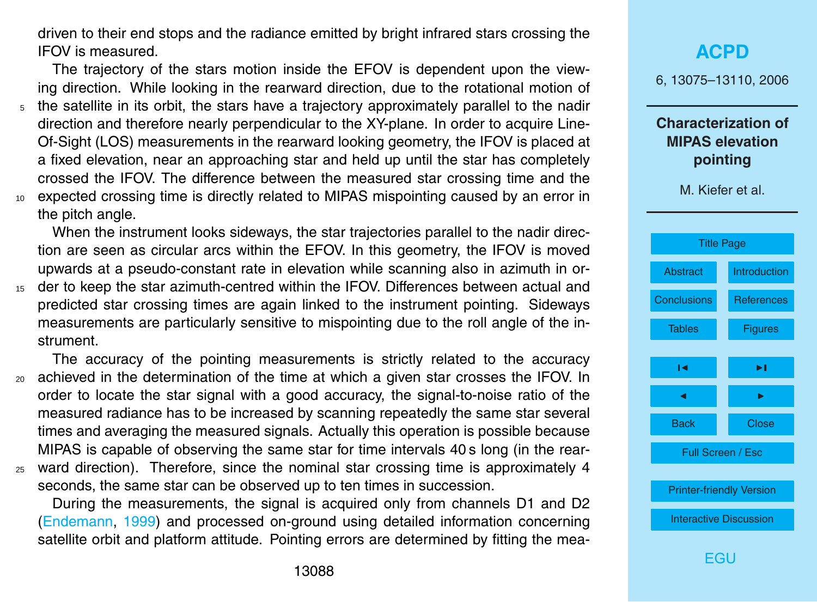<span id="page-13-0"></span>driven to their end stops and the radiance emitted by bright infrared stars crossing the IFOV is measured.

The trajectory of the stars motion inside the EFOV is dependent upon the viewing direction. While looking in the rearward direction, due to the rotational motion of <sup>5</sup> the satellite in its orbit, the stars have a trajectory approximately parallel to the nadir direction and therefore nearly perpendicular to the XY-plane. In order to acquire Line-Of-Sight (LOS) measurements in the rearward looking geometry, the IFOV is placed at a fixed elevation, near an approaching star and held up until the star has completely crossed the IFOV. The difference between the measured star crossing time and the <sup>10</sup> expected crossing time is directly related to MIPAS mispointing caused by an error in the pitch angle.

When the instrument looks sideways, the star trajectories parallel to the nadir direction are seen as circular arcs within the EFOV. In this geometry, the IFOV is moved upwards at a pseudo-constant rate in elevation while scanning also in azimuth in or-

<sup>15</sup> der to keep the star azimuth-centred within the IFOV. Differences between actual and predicted star crossing times are again linked to the instrument pointing. Sideways measurements are particularly sensitive to mispointing due to the roll angle of the instrument.

The accuracy of the pointing measurements is strictly related to the accuracy <sup>20</sup> achieved in the determination of the time at which a given star crosses the IFOV. In order to locate the star signal with a good accuracy, the signal-to-noise ratio of the measured radiance has to be increased by scanning repeatedly the same star several times and averaging the measured signals. Actually this operation is possible because MIPAS is capable of observing the same star for time intervals 40 s long (in the rear-<sup>25</sup> ward direction). Therefore, since the nominal star crossing time is approximately 4

seconds, the same star can be observed up to ten times in succession.

During the measurements, the signal is acquired only from channels D1 and D2 [\(Endemann,](#page-20-0) [1999\)](#page-20-0) and processed on-ground using detailed information concerning satellite orbit and platform attitude. Pointing errors are determined by fitting the mea-

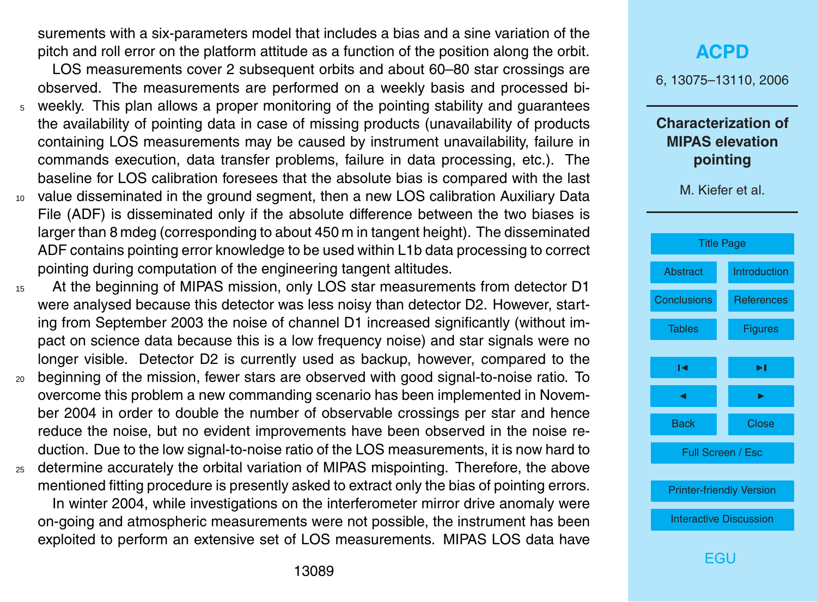surements with a six-parameters model that includes a bias and a sine variation of the pitch and roll error on the platform attitude as a function of the position along the orbit.

LOS measurements cover 2 subsequent orbits and about 60–80 star crossings are observed. The measurements are performed on a weekly basis and processed bi-

- <sup>5</sup> weekly. This plan allows a proper monitoring of the pointing stability and guarantees the availability of pointing data in case of missing products (unavailability of products containing LOS measurements may be caused by instrument unavailability, failure in commands execution, data transfer problems, failure in data processing, etc.). The baseline for LOS calibration foresees that the absolute bias is compared with the last
- <sup>10</sup> value disseminated in the ground segment, then a new LOS calibration Auxiliary Data File (ADF) is disseminated only if the absolute difference between the two biases is larger than 8 mdeg (corresponding to about 450 m in tangent height). The disseminated ADF contains pointing error knowledge to be used within L1b data processing to correct pointing during computation of the engineering tangent altitudes.
- <sup>15</sup> At the beginning of MIPAS mission, only LOS star measurements from detector D1 were analysed because this detector was less noisy than detector D2. However, starting from September 2003 the noise of channel D1 increased significantly (without impact on science data because this is a low frequency noise) and star signals were no longer visible. Detector D2 is currently used as backup, however, compared to the
- <sup>20</sup> beginning of the mission, fewer stars are observed with good signal-to-noise ratio. To overcome this problem a new commanding scenario has been implemented in November 2004 in order to double the number of observable crossings per star and hence reduce the noise, but no evident improvements have been observed in the noise reduction. Due to the low signal-to-noise ratio of the LOS measurements, it is now hard to
- <sup>25</sup> determine accurately the orbital variation of MIPAS mispointing. Therefore, the above mentioned fitting procedure is presently asked to extract only the bias of pointing errors. In winter 2004, while investigations on the interferometer mirror drive anomaly were on-going and atmospheric measurements were not possible, the instrument has been exploited to perform an extensive set of LOS measurements. MIPAS LOS data have

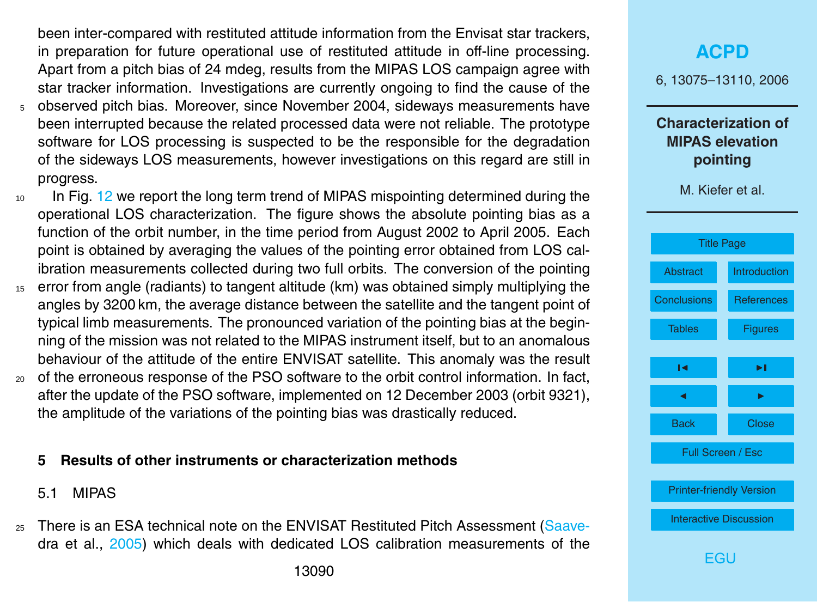<span id="page-15-0"></span>been inter-compared with restituted attitude information from the Envisat star trackers, in preparation for future operational use of restituted attitude in off-line processing. Apart from a pitch bias of 24 mdeg, results from the MIPAS LOS campaign agree with star tracker information. Investigations are currently ongoing to find the cause of the <sup>5</sup> observed pitch bias. Moreover, since November 2004, sideways measurements have

- been interrupted because the related processed data were not reliable. The prototype software for LOS processing is suspected to be the responsible for the degradation of the sideways LOS measurements, however investigations on this regard are still in progress.
- <sup>10</sup> In Fig. [12](#page-34-0) we report the long term trend of MIPAS mispointing determined during the operational LOS characterization. The figure shows the absolute pointing bias as a function of the orbit number, in the time period from August 2002 to April 2005. Each point is obtained by averaging the values of the pointing error obtained from LOS calibration measurements collected during two full orbits. The conversion of the pointing
- <sup>15</sup> error from angle (radiants) to tangent altitude (km) was obtained simply multiplying the angles by 3200 km, the average distance between the satellite and the tangent point of typical limb measurements. The pronounced variation of the pointing bias at the beginning of the mission was not related to the MIPAS instrument itself, but to an anomalous behaviour of the attitude of the entire ENVISAT satellite. This anomaly was the result
- <sup>20</sup> of the erroneous response of the PSO software to the orbit control information. In fact, after the update of the PSO software, implemented on 12 December 2003 (orbit 9321), the amplitude of the variations of the pointing bias was drastically reduced.

### **5 Results of other instruments or characterization methods**

### 5.1 MIPAS

<sub>25</sub> [T](#page-20-0)here is an ESA technical note on the ENVISAT Restituted Pitch Assessment [\(Saave](#page-20-0)[dra et al.,](#page-20-0) [2005\)](#page-20-0) which deals with dedicated LOS calibration measurements of the

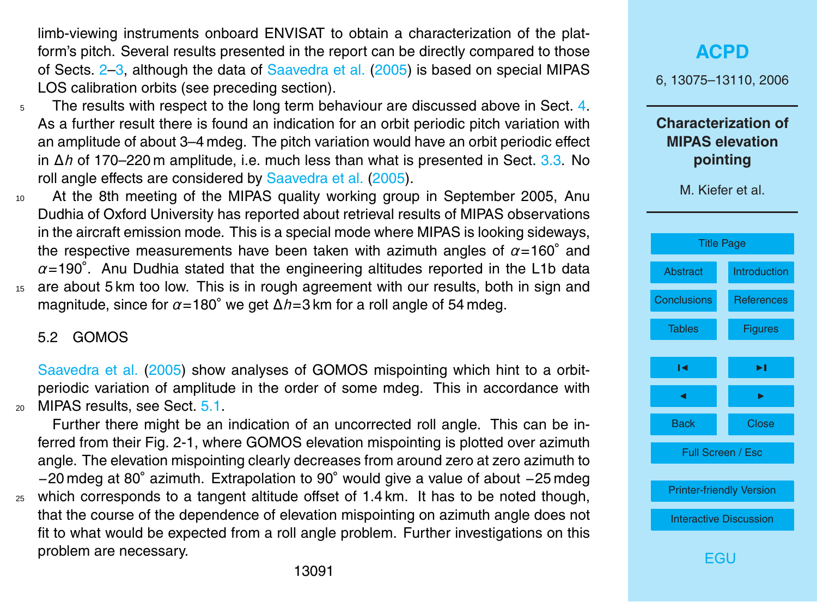<span id="page-16-0"></span>limb-viewing instruments onboard ENVISAT to obtain a characterization of the platform's pitch. Several results presented in the report can be directly compared to those of Sects. [2–](#page-5-0)[3,](#page-6-0) although the data of [Saavedra et al.](#page-20-0) [\(2005\)](#page-20-0) is based on special MIPAS LOS calibration orbits (see preceding section).

- $5$  The results with respect to the long term behaviour are discussed above in Sect. [4.](#page-12-0) As a further result there is found an indication for an orbit periodic pitch variation with an amplitude of about 3–4 mdeg. The pitch variation would have an orbit periodic effect in ∆*h* of 170–220 m amplitude, i.e. much less than what is presented in Sect. [3.3.](#page-9-0) No roll angle effects are considered by [Saavedra et al.](#page-20-0) [\(2005\)](#page-20-0).
- <sup>10</sup> At the 8th meeting of the MIPAS quality working group in September 2005, Anu Dudhia of Oxford University has reported about retrieval results of MIPAS observations in the aircraft emission mode. This is a special mode where MIPAS is looking sideways, the respective measurements have been taken with azimuth angles of *α*=160◦ and *α*=190◦ . Anu Dudhia stated that the engineering altitudes reported in the L1b data <sup>15</sup> are about 5 km too low. This is in rough agreement with our results, both in sign and
- magnitude, since for *α*=180◦ we get ∆*h*=3 km for a roll angle of 54 mdeg.

#### 5.2 GOMOS

[Saavedra et al.](#page-20-0) [\(2005\)](#page-20-0) show analyses of GOMOS mispointing which hint to a orbitperiodic variation of amplitude in the order of some mdeg. This in accordance with  $_{20}$  MIPAS results, see Sect.  $5.1$ .

Further there might be an indication of an uncorrected roll angle. This can be inferred from their Fig. 2-1, where GOMOS elevation mispointing is plotted over azimuth angle. The elevation mispointing clearly decreases from around zero at zero azimuth to −20 mdeg at 80◦ azimuth. Extrapolation to 90◦ would give a value of about −25 mdeg  $25$  which corresponds to a tangent altitude offset of 1.4 km. It has to be noted though, that the course of the dependence of elevation mispointing on azimuth angle does not fit to what would be expected from a roll angle problem. Further investigations on this problem are necessary.

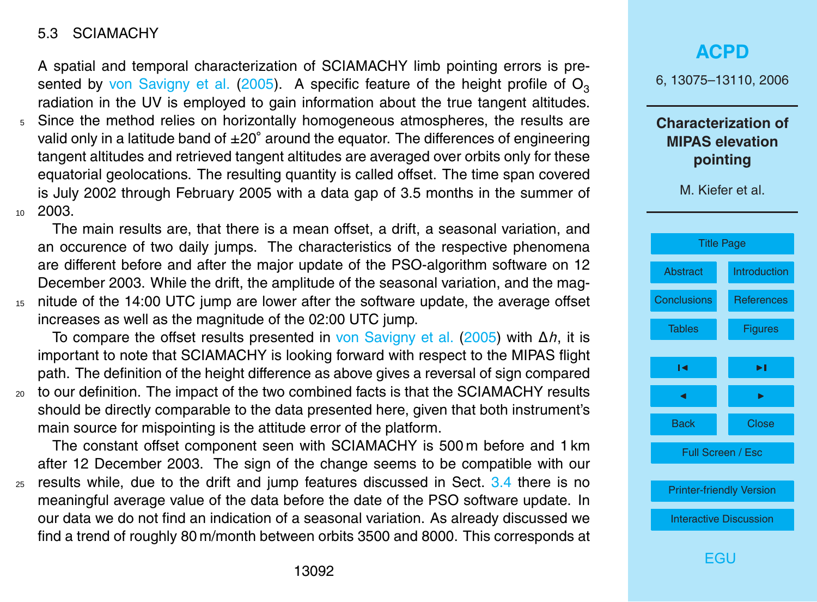#### <span id="page-17-0"></span>5.3 SCIAMACHY

A spatial and temporal characterization of SCIAMACHY limb pointing errors is presented by [von Savigny et al.](#page-21-0) [\(2005\)](#page-21-0). A specific feature of the height profile of  $O<sub>3</sub>$ radiation in the UV is employed to gain information about the true tangent altitudes.

<sup>5</sup> Since the method relies on horizontally homogeneous atmospheres, the results are valid only in a latitude band of ±20° around the equator. The differences of engineering tangent altitudes and retrieved tangent altitudes are averaged over orbits only for these equatorial geolocations. The resulting quantity is called offset. The time span covered is July 2002 through February 2005 with a data gap of 3.5 months in the summer of 10 2003.

The main results are, that there is a mean offset, a drift, a seasonal variation, and an occurence of two daily jumps. The characteristics of the respective phenomena are different before and after the major update of the PSO-algorithm software on 12 December 2003. While the drift, the amplitude of the seasonal variation, and the mag-<sup>15</sup> nitude of the 14:00 UTC jump are lower after the software update, the average offset increases as well as the magnitude of the 02:00 UTC jump.

To compare the offset results presented in [von Savigny et al.](#page-21-0) [\(2005\)](#page-21-0) with ∆*h*, it is important to note that SCIAMACHY is looking forward with respect to the MIPAS flight path. The definition of the height difference as above gives a reversal of sign compared <sup>20</sup> to our definition. The impact of the two combined facts is that the SCIAMACHY results should be directly comparable to the data presented here, given that both instrument's main source for mispointing is the attitude error of the platform.

The constant offset component seen with SCIAMACHY is 500 m before and 1 km after 12 December 2003. The sign of the change seems to be compatible with our <sup>25</sup> results while, due to the drift and jump features discussed in Sect. [3.4](#page-11-0) there is no meaningful average value of the data before the date of the PSO software update. In our data we do not find an indication of a seasonal variation. As already discussed we find a trend of roughly 80 m/month between orbits 3500 and 8000. This corresponds at

# **[ACPD](http://www.atmos-chem-phys-discuss.net)** 6, 13075–13110, 2006 **Characterization of MIPAS elevation pointing** M. Kiefer et al. [Title Page](#page-0-0) [Abstract](#page-1-0) [Introduction](#page-2-0) [Conclusions](#page-18-0) [References](#page-20-0) [Tables](#page-22-0) [Figures](#page-23-0)  $\sim$  J  $\sim$ **J** I I I I Back Close Full Screen / Esc [Printer-friendly Version](http://www.atmos-chem-phys-discuss.net/6/13075/2006/acpd-6-13075-2006-print.pdf) [Interactive Discussion](http://www.atmos-chem-phys-discuss.net/6/13075/2006/acpd-6-13075-2006-discussion.html) [EGU](http://www.copernicus.org/EGU/EGU.html)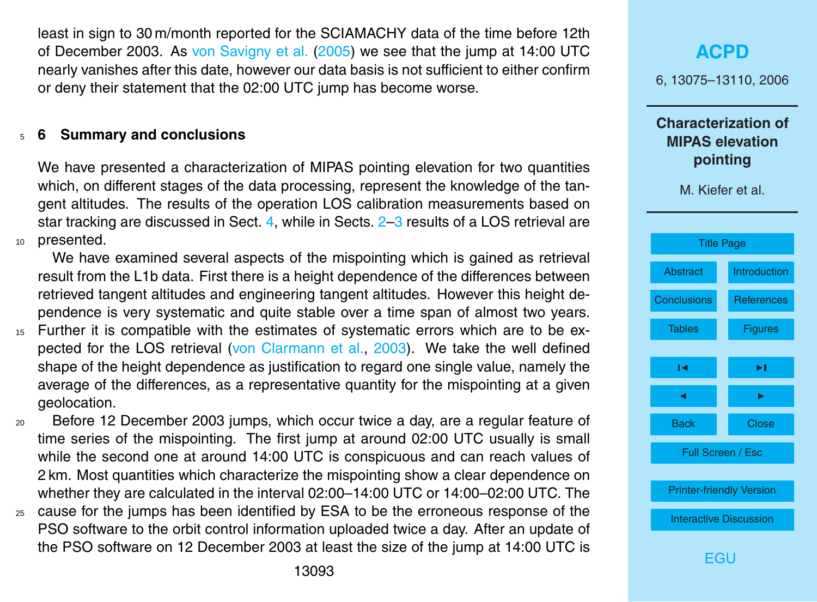<span id="page-18-0"></span>least in sign to 30 m/month reported for the SCIAMACHY data of the time before 12th of December 2003. As [von Savigny et al.](#page-21-0) [\(2005\)](#page-21-0) we see that the jump at 14:00 UTC nearly vanishes after this date, however our data basis is not sufficient to either confirm or deny their statement that the 02:00 UTC jump has become worse.

#### <sup>5</sup> **6 Summary and conclusions**

We have presented a characterization of MIPAS pointing elevation for two quantities which, on different stages of the data processing, represent the knowledge of the tangent altitudes. The results of the operation LOS calibration measurements based on star tracking are discussed in Sect. [4,](#page-12-0) while in Sects. [2–](#page-5-0)[3](#page-6-0) results of a LOS retrieval are <sup>10</sup> presented.

We have examined several aspects of the mispointing which is gained as retrieval result from the L1b data. First there is a height dependence of the differences between retrieved tangent altitudes and engineering tangent altitudes. However this height dependence is very systematic and quite stable over a time span of almost two years.

- <sup>15</sup> Further it is compatible with the estimates of systematic errors which are to be expected for the LOS retrieval [\(von Clarmann et al.,](#page-21-0) [2003\)](#page-21-0). We take the well defined shape of the height dependence as justification to regard one single value, namely the average of the differences, as a representative quantity for the mispointing at a given geolocation.
- <sup>20</sup> Before 12 December 2003 jumps, which occur twice a day, are a regular feature of time series of the mispointing. The first jump at around 02:00 UTC usually is small while the second one at around 14:00 UTC is conspicuous and can reach values of 2 km. Most quantities which characterize the mispointing show a clear dependence on whether they are calculated in the interval 02:00–14:00 UTC or 14:00–02:00 UTC. The
- <sup>25</sup> cause for the jumps has been identified by ESA to be the erroneous response of the PSO software to the orbit control information uploaded twice a day. After an update of the PSO software on 12 December 2003 at least the size of the jump at 14:00 UTC is

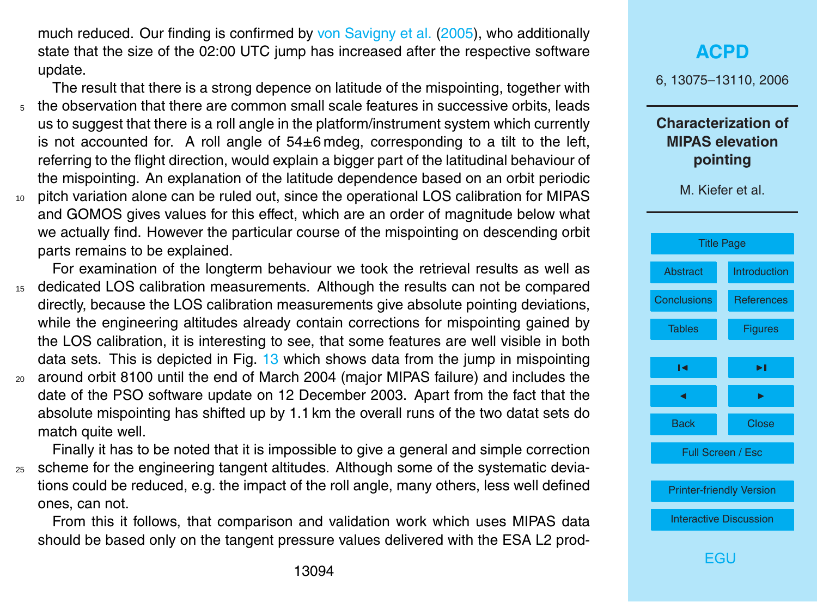<span id="page-19-0"></span>much reduced. Our finding is confirmed by [von Savigny et al.](#page-21-0) [\(2005\)](#page-21-0), who additionally state that the size of the 02:00 UTC jump has increased after the respective software update.

The result that there is a strong depence on latitude of the mispointing, together with <sup>5</sup> the observation that there are common small scale features in successive orbits, leads us to suggest that there is a roll angle in the platform/instrument system which currently is not accounted for. A roll angle of 54±6 mdeg, corresponding to a tilt to the left, referring to the flight direction, would explain a bigger part of the latitudinal behaviour of the mispointing. An explanation of the latitude dependence based on an orbit periodic <sup>10</sup> pitch variation alone can be ruled out, since the operational LOS calibration for MIPAS and GOMOS gives values for this effect, which are an order of magnitude below what we actually find. However the particular course of the mispointing on descending orbit

parts remains to be explained. For examination of the longterm behaviour we took the retrieval results as well as <sup>15</sup> dedicated LOS calibration measurements. Although the results can not be compared directly, because the LOS calibration measurements give absolute pointing deviations, while the engineering altitudes already contain corrections for mispointing gained by the LOS calibration, it is interesting to see, that some features are well visible in both data sets. This is depicted in Fig. [13](#page-35-0) which shows data from the jump in mispointing <sup>20</sup> around orbit 8100 until the end of March 2004 (major MIPAS failure) and includes the date of the PSO software update on 12 December 2003. Apart from the fact that the absolute mispointing has shifted up by 1.1 km the overall runs of the two datat sets do match quite well.

Finally it has to be noted that it is impossible to give a general and simple correction <sup>25</sup> scheme for the engineering tangent altitudes. Although some of the systematic deviations could be reduced, e.g. the impact of the roll angle, many others, less well defined ones, can not.

From this it follows, that comparison and validation work which uses MIPAS data should be based only on the tangent pressure values delivered with the ESA L2 prod-

# **[ACPD](http://www.atmos-chem-phys-discuss.net)** 6, 13075–13110, 2006 **Characterization of MIPAS elevation pointing** M. Kiefer et al. [Title Page](#page-0-0) [Abstract](#page-1-0) [Introduction](#page-2-0) [Conclusions](#page-18-0) [References](#page-20-0) [Tables](#page-22-0) [Figures](#page-23-0)  $\sim$  J  $\sim$ **J** I I I I Back Close Full Screen / Esc [Printer-friendly Version](http://www.atmos-chem-phys-discuss.net/6/13075/2006/acpd-6-13075-2006-print.pdf) [Interactive Discussion](http://www.atmos-chem-phys-discuss.net/6/13075/2006/acpd-6-13075-2006-discussion.html) [EGU](http://www.copernicus.org/EGU/EGU.html)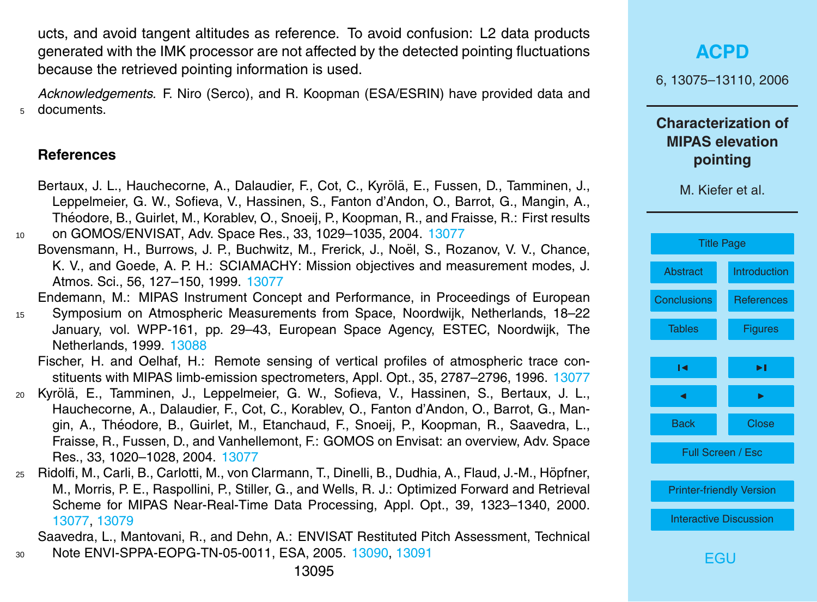<span id="page-20-0"></span>ucts, and avoid tangent altitudes as reference. To avoid confusion: L2 data products generated with the IMK processor are not affected by the detected pointing fluctuations because the retrieved pointing information is used.

*Acknowledgements.* F. Niro (Serco), and R. Koopman (ESA/ESRIN) have provided data and <sup>5</sup> documents.

#### **References**

- Bertaux, J. L., Hauchecorne, A., Dalaudier, F., Cot, C., Kyrölä, E., Fussen, D., Tamminen, J., Leppelmeier, G. W., Sofieva, V., Hassinen, S., Fanton d'Andon, O., Barrot, G., Mangin, A., Theodore, B., Guirlet, M., Korablev, O., Snoeij, P., Koopman, R., and Fraisse, R.: First results ´ <sup>10</sup> on GOMOS/ENVISAT, Adv. Space Res., 33, 1029–1035, 2004. [13077](#page-2-0)
	- Bovensmann, H., Burrows, J. P., Buchwitz, M., Frerick, J., Noël, S., Rozanov, V. V., Chance, K. V., and Goede, A. P. H.: SCIAMACHY: Mission objectives and measurement modes, J. Atmos. Sci., 56, 127–150, 1999. [13077](#page-2-0)

Endemann, M.: MIPAS Instrument Concept and Performance, in Proceedings of European <sup>15</sup> Symposium on Atmospheric Measurements from Space, Noordwijk, Netherlands, 18–22

January, vol. WPP-161, pp. 29–43, European Space Agency, ESTEC, Noordwijk, The Netherlands, 1999. [13088](#page-13-0)

Fischer, H. and Oelhaf, H.: Remote sensing of vertical profiles of atmospheric trace constituents with MIPAS limb-emission spectrometers, Appl. Opt., 35, 2787–2796, 1996. [13077](#page-2-0)

- <sup>20</sup> Kyrol ¨ a, E., Tamminen, J., Leppelmeier, G. W., Sofieva, V., Hassinen, S., Bertaux, J. L., ¨ Hauchecorne, A., Dalaudier, F., Cot, C., Korablev, O., Fanton d'Andon, O., Barrot, G., Mangin, A., Théodore, B., Guirlet, M., Etanchaud, F., Snoeii, P., Koopman, R., Saavedra. L.. Fraisse, R., Fussen, D., and Vanhellemont, F.: GOMOS on Envisat: an overview, Adv. Space Res., 33, 1020–1028, 2004. [13077](#page-2-0)
- <sup>25</sup> Ridolfi, M., Carli, B., Carlotti, M., von Clarmann, T., Dinelli, B., Dudhia, A., Flaud, J.-M., Hopfner, ¨ M., Morris, P. E., Raspollini, P., Stiller, G., and Wells, R. J.: Optimized Forward and Retrieval Scheme for MIPAS Near-Real-Time Data Processing, Appl. Opt., 39, 1323–1340, 2000. [13077,](#page-2-0) [13079](#page-4-0)

Saavedra, L., Mantovani, R., and Dehn, A.: ENVISAT Restituted Pitch Assessment, Technical <sup>30</sup> Note ENVI-SPPA-EOPG-TN-05-0011, ESA, 2005. [13090,](#page-15-0) [13091](#page-16-0)

**[ACPD](http://www.atmos-chem-phys-discuss.net)** 6, 13075–13110, 2006 **Characterization of MIPAS elevation pointing** M. Kiefer et al. [Title Page](#page-0-0) [Abstract](#page-1-0) [Introduction](#page-2-0) [Conclusions](#page-18-0) References [Tables](#page-22-0) **[Figures](#page-23-0)**  $\sim$  J  $\sim$ **J** I I I I Back Close Full Screen / Esc

[Printer-friendly Version](http://www.atmos-chem-phys-discuss.net/6/13075/2006/acpd-6-13075-2006-print.pdf)

[Interactive Discussion](http://www.atmos-chem-phys-discuss.net/6/13075/2006/acpd-6-13075-2006-discussion.html)

[EGU](http://www.copernicus.org/EGU/EGU.html)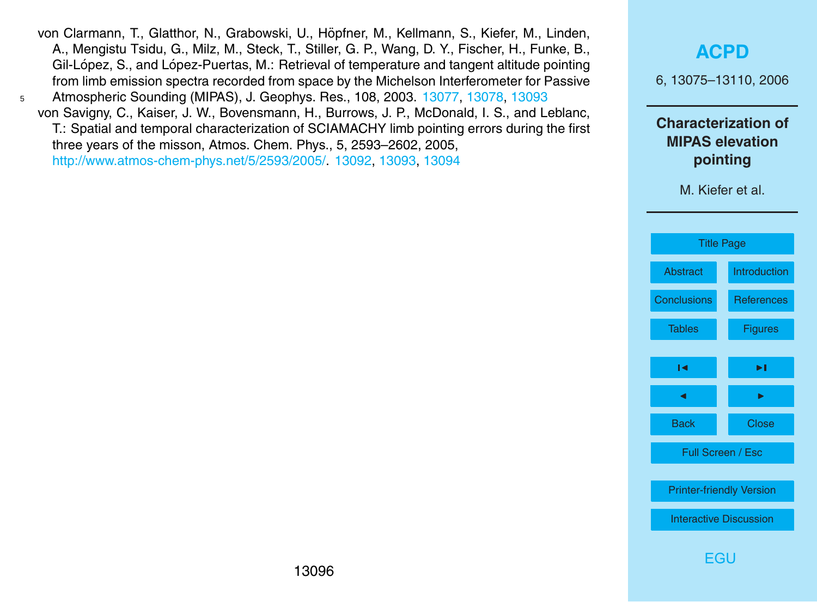- <span id="page-21-0"></span>von Clarmann, T., Glatthor, N., Grabowski, U., Höpfner, M., Kellmann, S., Kiefer, M., Linden, A., Mengistu Tsidu, G., Milz, M., Steck, T., Stiller, G. P., Wang, D. Y., Fischer, H., Funke, B., Gil-López, S., and López-Puertas, M.: Retrieval of temperature and tangent altitude pointing from limb emission spectra recorded from space by the Michelson Interferometer for Passive <sup>5</sup> Atmospheric Sounding (MIPAS), J. Geophys. Res., 108, 2003. [13077,](#page-2-0) [13078,](#page-3-0) [13093](#page-18-0)
	- von Savigny, C., Kaiser, J. W., Bovensmann, H., Burrows, J. P., McDonald, I. S., and Leblanc, T.: Spatial and temporal characterization of SCIAMACHY limb pointing errors during the first three years of the misson, Atmos. Chem. Phys., 5, 2593–2602, 2005, [http://www.atmos-chem-phys.net/5/2593/2005/.](http://www.atmos-chem-phys.net/5/2593/2005/) [13092,](#page-17-0) [13093,](#page-18-0) [13094](#page-19-0)

### **[ACPD](http://www.atmos-chem-phys-discuss.net)**

6, 13075–13110, 2006

#### **Characterization of MIPAS elevation pointing**

M. Kiefer et al.

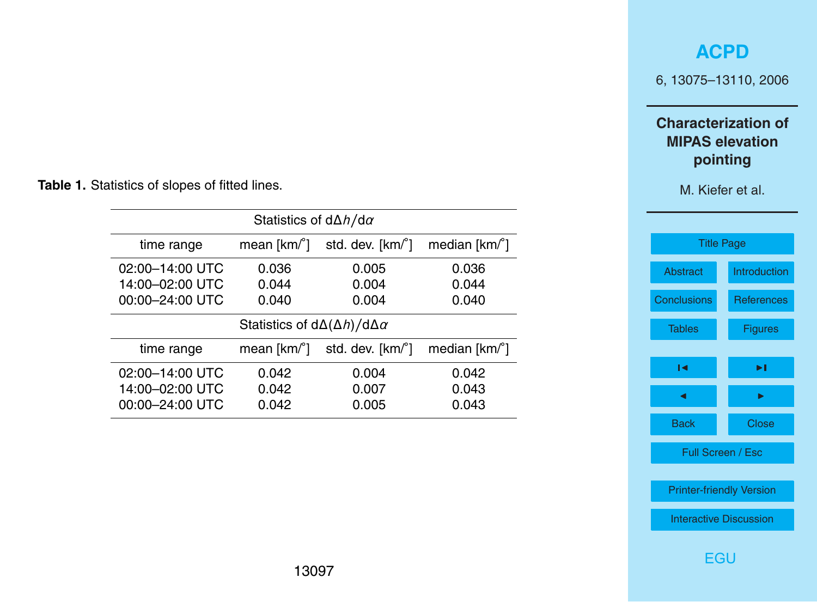### **[ACPD](http://www.atmos-chem-phys-discuss.net)**

6, 13075–13110, 2006

### **Characterization of MIPAS elevation pointing**

M. Kiefer et al.

| <b>Title Page</b>               |                   |  |  |  |
|---------------------------------|-------------------|--|--|--|
| Abstract                        | Introduction      |  |  |  |
| <b>Conclusions</b>              | <b>References</b> |  |  |  |
| <b>Tables</b>                   | <b>Figures</b>    |  |  |  |
| ы                               | ы                 |  |  |  |
|                                 |                   |  |  |  |
| ◢                               | ь                 |  |  |  |
| <b>Back</b>                     | Close             |  |  |  |
| Full Screen / Esc               |                   |  |  |  |
|                                 |                   |  |  |  |
| <b>Printer-friendly Version</b> |                   |  |  |  |
| <b>Interactive Discussion</b>   |                   |  |  |  |
|                                 |                   |  |  |  |

[EGU](http://www.copernicus.org/EGU/EGU.html)

<span id="page-22-0"></span>**Table 1.** Statistics of slopes of fitted lines.

| Statistics of $d\Delta h/d\alpha$               |                       |                  |                         |
|-------------------------------------------------|-----------------------|------------------|-------------------------|
| time range                                      | mean $[km]^{\circ}$ ] | std. dev. [km/°] | median $[km]^{\circ}$ ] |
| 02:00-14:00 UTC                                 | 0.036                 | 0.005            | 0.036                   |
| 14:00-02:00 UTC                                 | 0.044                 | 0.004            | 0.044                   |
| 00:00-24:00 UTC                                 | 0.040                 | 0.004            | 0.040                   |
| Statistics of $d\Delta(\Delta h)/d\Delta\alpha$ |                       |                  |                         |
| time range                                      | mean $[km]^{\circ}$ ] | std. dev. [km/°] | median $[km]^{\circ}$ ] |
| 02:00-14:00 UTC                                 | 0.042                 | 0.004            | 0.042                   |
| 14:00-02:00 UTC                                 | 0.042                 | 0.007            | 0.043                   |
| 00:00-24:00 UTC                                 | 0.042                 | 0.005            | 0.043                   |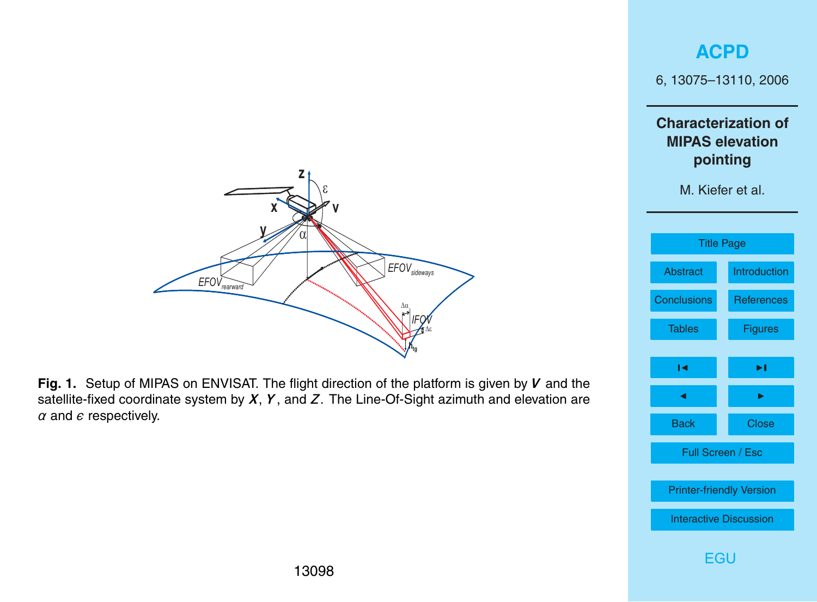# **[ACPD](http://www.atmos-chem-phys-discuss.net)** 6, 13075–13110, 2006 **Characterization of MIPAS elevation pointing** M. Kiefer et al. [Title Page](#page-0-0) [Abstract](#page-1-0) [Introduction](#page-2-0) [Conclusions](#page-18-0) [References](#page-20-0) [Tables](#page-22-0) Figures  $\blacksquare$ **J** I I I I Back Close Full Screen / Esc [Printer-friendly Version](http://www.atmos-chem-phys-discuss.net/6/13075/2006/acpd-6-13075-2006-print.pdf) [Interactive Discussion](http://www.atmos-chem-phys-discuss.net/6/13075/2006/acpd-6-13075-2006-discussion.html) Platform is given by **V** and the<br>
Sight azimuth and elevation are<br> **[EGU](http://www.copernicus.org/EGU/EGU.html)** Back<br> **EGU** Back<br> **EGU**

<span id="page-23-0"></span>

**Fig. 1.** Setup of MIPAS on ENVISAT. The flight direction of the platform is given by *V* and the satellite-fixed coordinate system by *X*, *Y* , and *Z*. The Line-Of-Sight azimuth and elevation are  $\alpha$  and  $\epsilon$  respectively.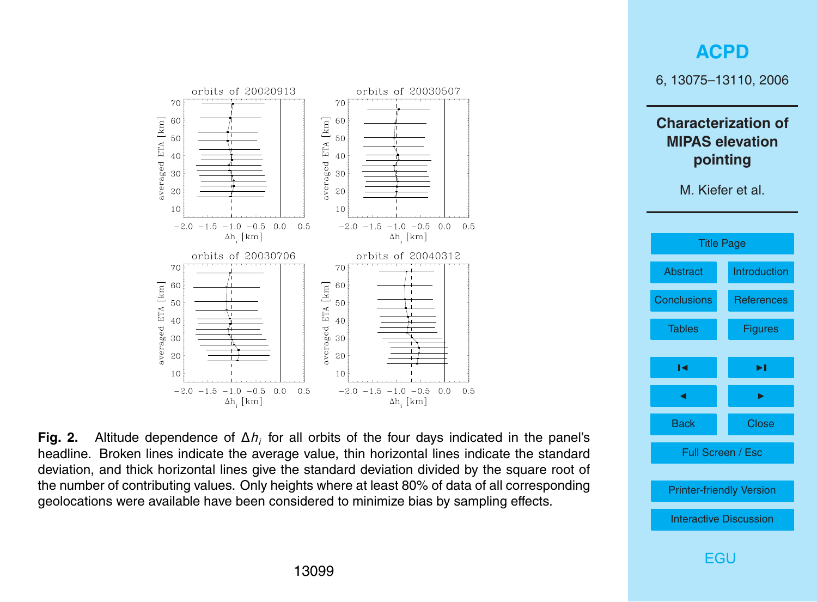<span id="page-24-0"></span>

**Fig. 2.** Altitude dependence of Δ*h<sub>i</sub>* for all orbits of the four days indicated in the panel's headline. Broken lines indicate the average value, thin horizontal lines indicate the standard deviation, and thick horizontal lines give the standard deviation divided by the square root of the number of contributing values. Only heights where at least 80% of data of all corresponding geolocations were available have been considered to minimize bias by sampling effects.

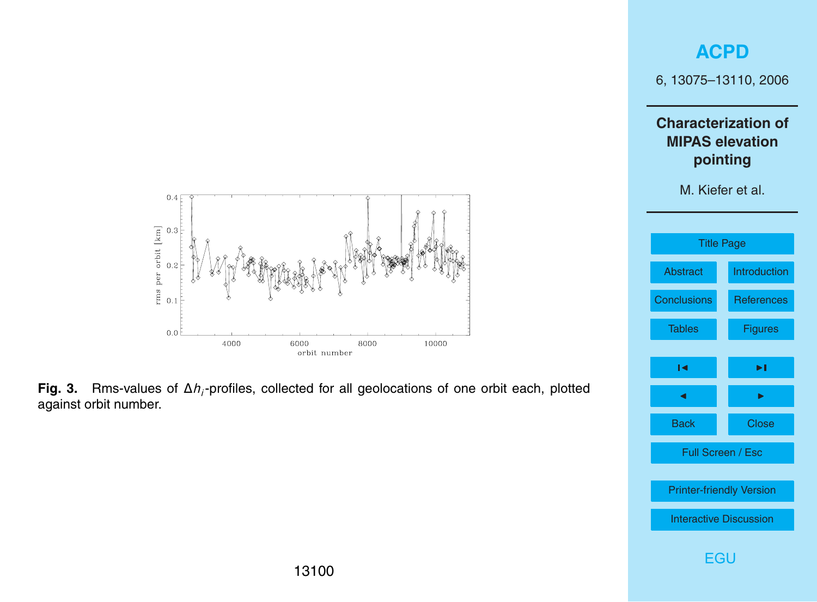

<span id="page-25-0"></span>

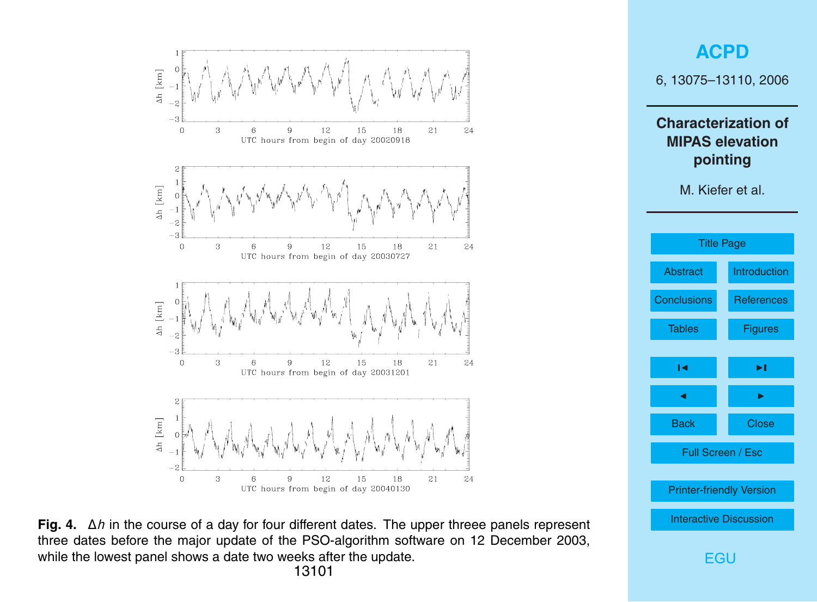<span id="page-26-0"></span>



**Fig. 4.** ∆*h* in the course of a day for four different dates. The upper threee panels represent three dates before the major update of the PSO-algorithm software on 12 December 2003, while the lowest panel shows a date two weeks after the update.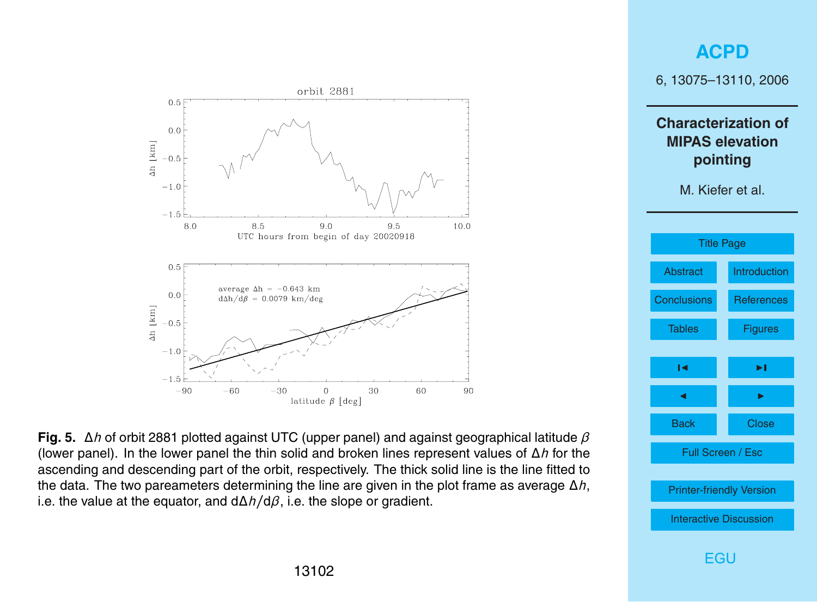<span id="page-27-0"></span>

**Fig. 5.** ∆*h* of orbit 2881 plotted against UTC (upper panel) and against geographical latitude *β* (lower panel). In the lower panel the thin solid and broken lines represent values of ∆*h* for the ascending and descending part of the orbit, respectively. The thick solid line is the line fitted to the data. The two pareameters determining the line are given in the plot frame as average ∆*h*, i.e. the value at the equator, and d∆*h/*d*β*, i.e. the slope or gradient.

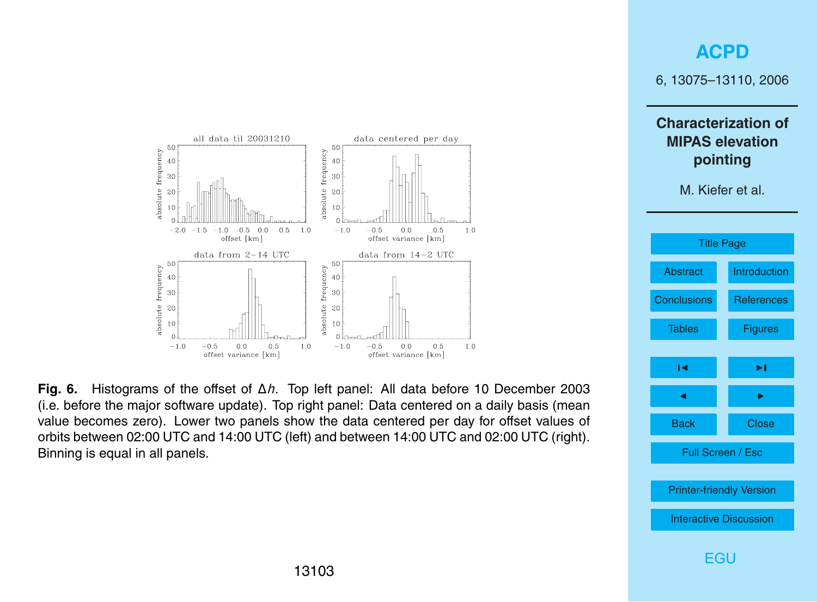### **[ACPD](http://www.atmos-chem-phys-discuss.net)**

6, 13075–13110, 2006

**Characterization of MIPAS elevation pointing**

M. Kiefer et al.



<span id="page-28-0"></span>

**Fig. 6.** Histograms of the offset of ∆*h*. Top left panel: All data before 10 December 2003 (i.e. before the major software update). Top right panel: Data centered on a daily basis (mean value becomes zero). Lower two panels show the data centered per day for offset values of orbits between 02:00 UTC and 14:00 UTC (left) and between 14:00 UTC and 02:00 UTC (right). Binning is equal in all panels.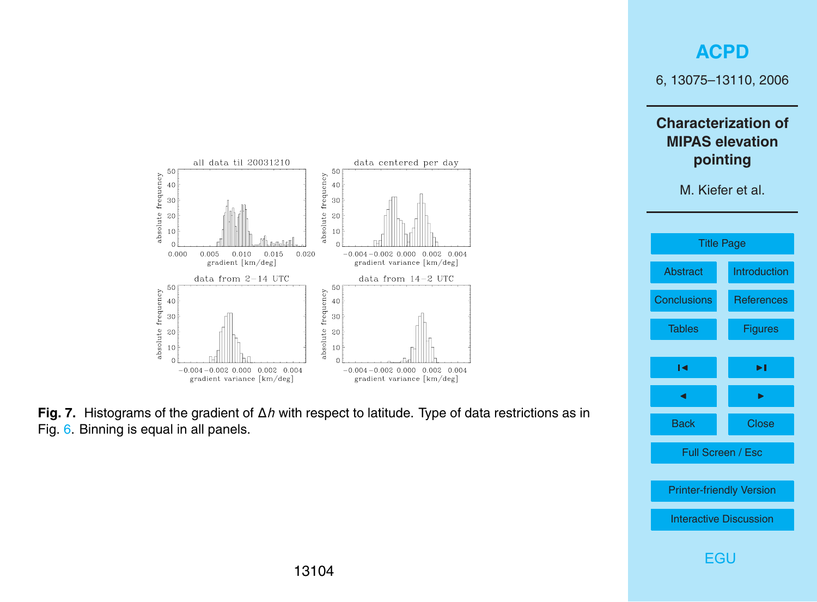### **[ACPD](http://www.atmos-chem-phys-discuss.net)**

6, 13075–13110, 2006

**Characterization of MIPAS elevation pointing**





<span id="page-29-0"></span>

**Fig. 7.** Histograms of the gradient of ∆*h* with respect to latitude. Type of data restrictions as in Fig. [6.](#page-28-0) Binning is equal in all panels.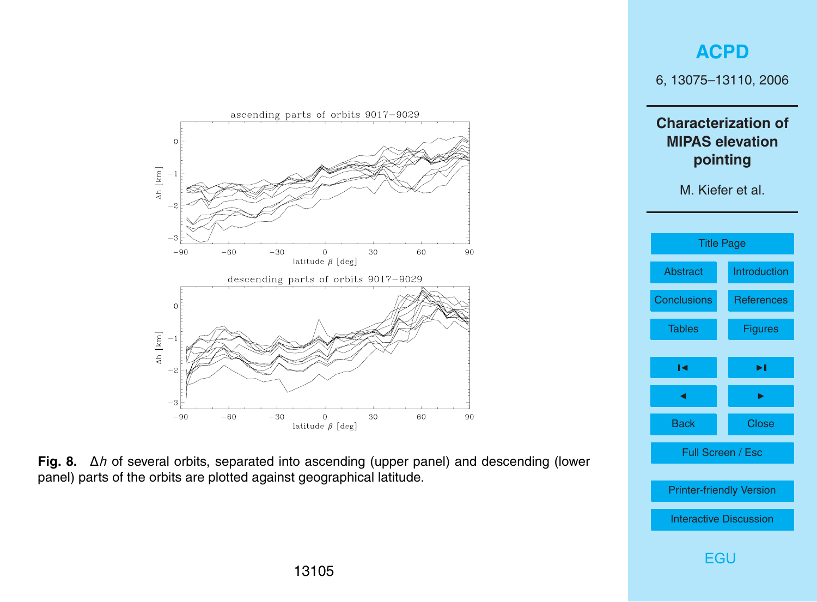<span id="page-30-0"></span>

**Fig. 8.** ∆*h* of several orbits, separated into ascending (upper panel) and descending (lower panel) parts of the orbits are plotted against geographical latitude.

# **MIPAS elevation pointing** M. Kiefer et al. [Title Page](#page-0-0) [Abstract](#page-1-0) [Introduction](#page-2-0) [Conclusions](#page-18-0) [References](#page-20-0) [Tables](#page-22-0) [Figures](#page-23-0)  $\sim$  J  $\sim$ **J** I I I I Back Close Full Screen / Esc [Printer-friendly Version](http://www.atmos-chem-phys-discuss.net/6/13075/2006/acpd-6-13075-2006-print.pdf) [Interactive Discussion](http://www.atmos-chem-phys-discuss.net/6/13075/2006/acpd-6-13075-2006-discussion.html) [EGU](http://www.copernicus.org/EGU/EGU.html)

### **[ACPD](http://www.atmos-chem-phys-discuss.net)**

6, 13075–13110, 2006

**Characterization of**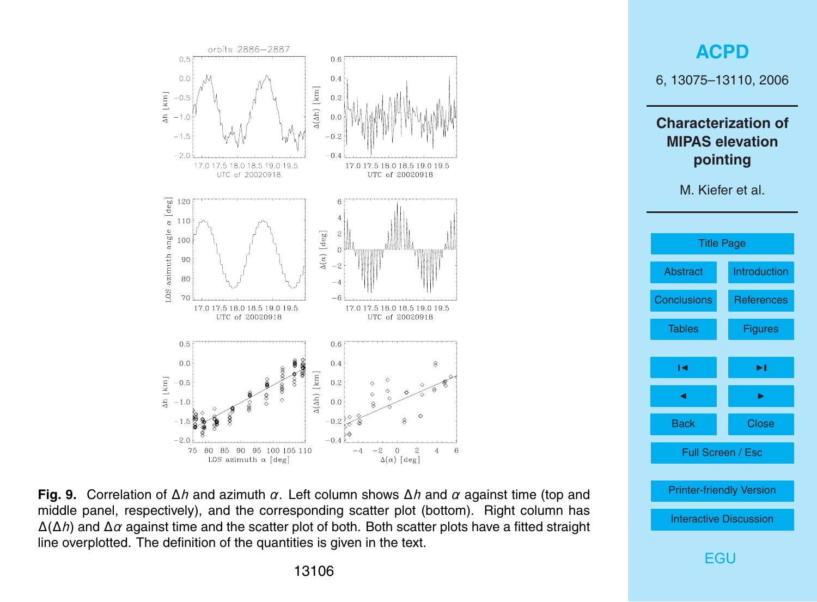<span id="page-31-0"></span>



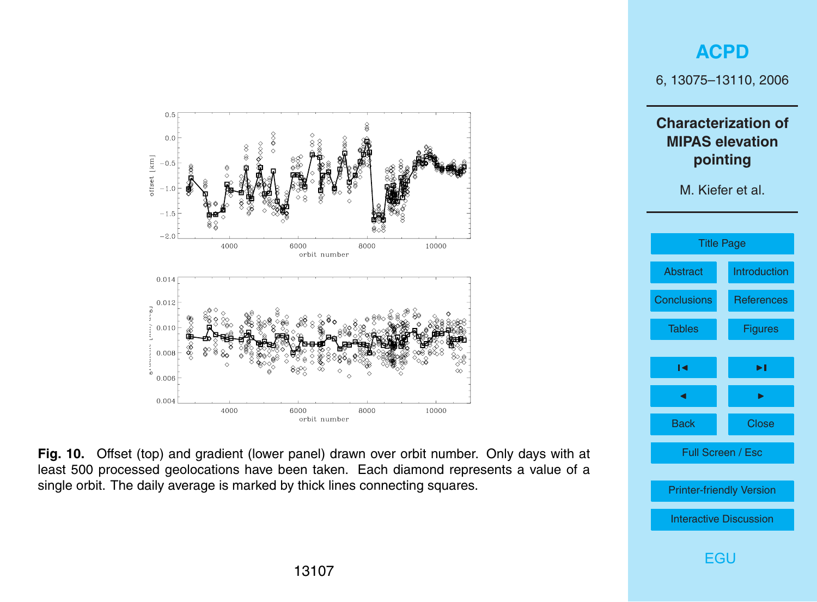<span id="page-32-0"></span>

**Fig. 10.** Offset (top) and gradient (lower panel) drawn over orbit number. Only days with at least 500 processed geolocations have been taken. Each diamond represents a value of a single orbit. The daily average is marked by thick lines connecting squares.

13107

# 6, 13075–13110, 2006 **Characterization of MIPAS elevation pointing** M. Kiefer et al. [Title Page](#page-0-0) [Abstract](#page-1-0) [Introduction](#page-2-0) [Conclusions](#page-18-0) [References](#page-20-0) [Tables](#page-22-0) [Figures](#page-23-0)  $\sim$  J  $\sim$ **J** I I I I Back Close Full Screen / Esc [Printer-friendly Version](http://www.atmos-chem-phys-discuss.net/6/13075/2006/acpd-6-13075-2006-print.pdf) [Interactive Discussion](http://www.atmos-chem-phys-discuss.net/6/13075/2006/acpd-6-13075-2006-discussion.html)

**[ACPD](http://www.atmos-chem-phys-discuss.net)**

[EGU](http://www.copernicus.org/EGU/EGU.html)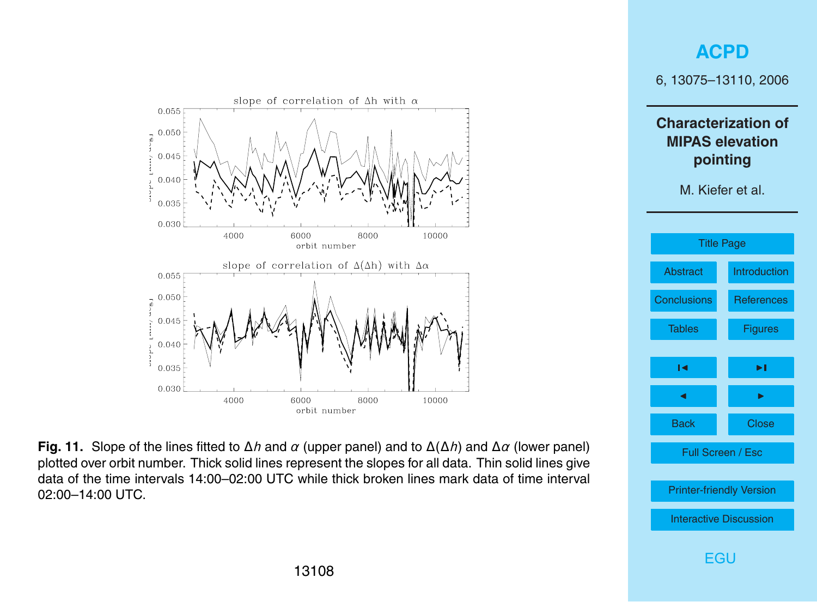<span id="page-33-0"></span>

**Fig. 11.** Slope of the lines fitted to ∆*h* and *α* (upper panel) and to ∆(∆*h*) and ∆*α* (lower panel) plotted over orbit number. Thick solid lines represent the slopes for all data. Thin solid lines give data of the time intervals 14:00–02:00 UTC while thick broken lines mark data of time interval 02:00–14:00 UTC.

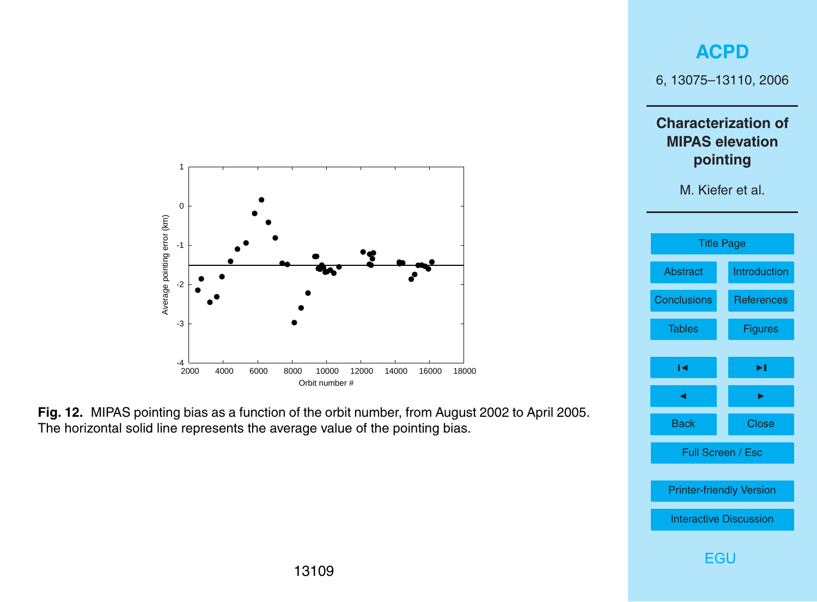

**Fig. 12.** MIPAS pointing bias as a function of the orbit number, from August 2002 to April 2005. The horizontal solid line represents the average value of the pointing bias.

<span id="page-34-0"></span>